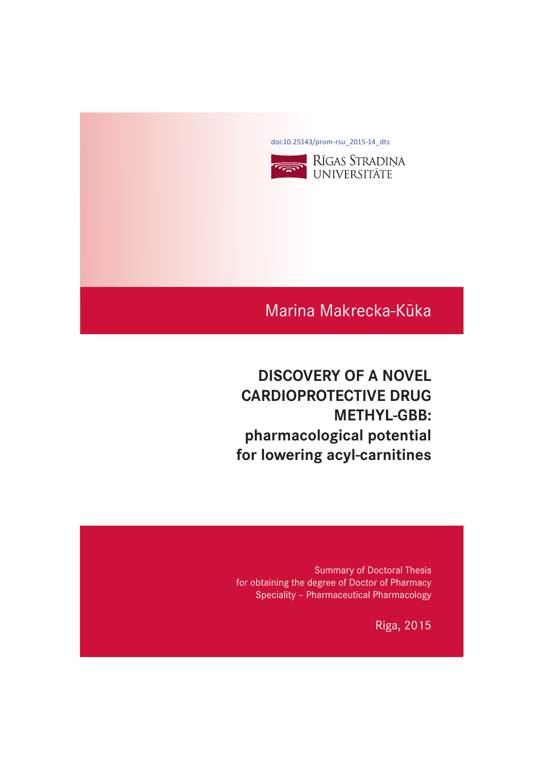[doi:10.25143/prom-rsu\\_2015-14\\_dts](https://doi.org/10.25143/prom-rsu_2015-14_dts)



# Marina Makrecka-Kūka

# **DISCOVERY OF A NOVEL CARDIOPROTECTIVE DRUG METHYL-GBB:** pharmacological potential **pharmacological property for lowering acyl-carnitines**

Summary of Doctoral Thesis for obtaining the degree of Doctor of Pharmacy Speciality – Pharmaceutical Pharmacology

Riga, 2015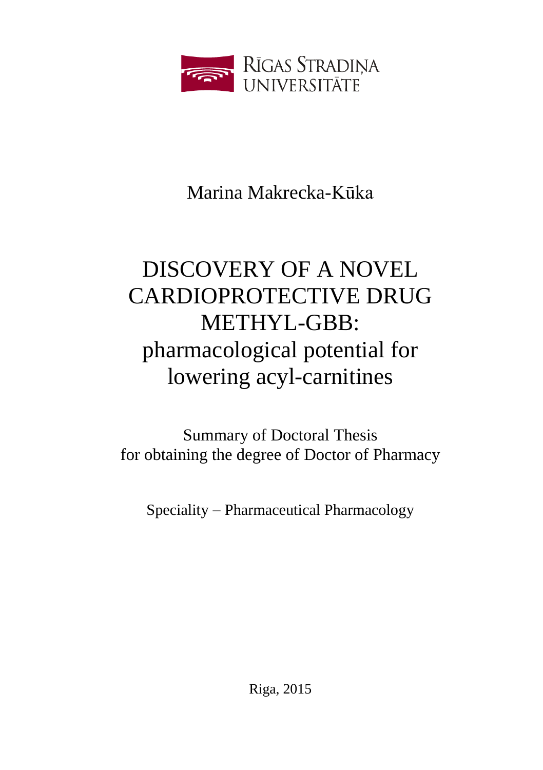

Marina Makrecka-Kūka

# DISCOVERY OF A NOVEL CARDIOPROTECTIVE DRUG METHYL-GBB: pharmacological potential for lowering acyl-carnitines

Summary of Doctoral Thesis for obtaining the degree of Doctor of Pharmacy

Speciality - Pharmaceutical Pharmacology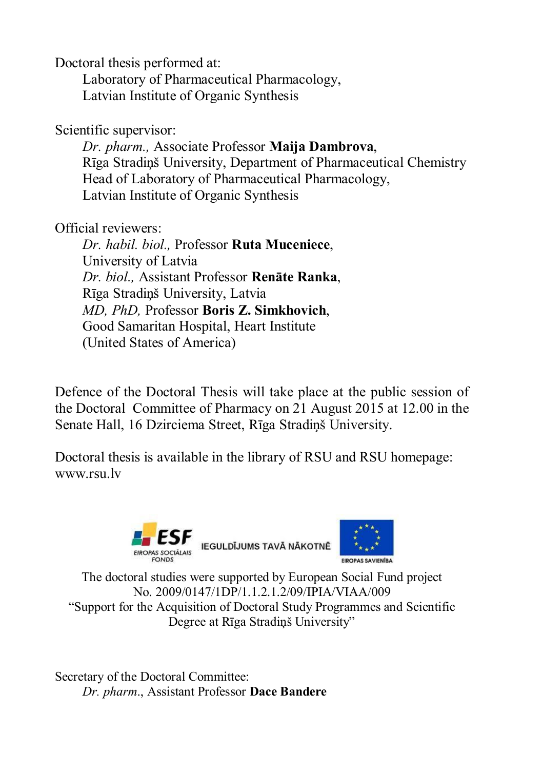Doctoral thesis performed at:

 Laboratory of Pharmaceutical Pharmacology, Latvian Institute of Organic Synthesis

Scientific supervisor:

*Dr. pharm.,* Associate Professor **Maija Dambrova**, Rīga Stradiņš University, Department of Pharmaceutical Chemistry Head of Laboratory of Pharmaceutical Pharmacology, Latvian Institute of Organic Synthesis

Official reviewers:

*Dr. habil. biol.,* Professor **Ruta Muceniece**, University of Latvia *Dr. biol.,* Assistant Professor **Renāte Ranka**, Rīga Stradiņš University, Latvia *MD, PhD,* Professor **Boris Z. Simkhovich**, Good Samaritan Hospital, Heart Institute (United States of America)

Defence of the Doctoral Thesis will take place at the public session of the Doctoral Committee of Pharmacy on 21 August 2015 at 12.00 in the Senate Hall, 16 Dzirciema Street, Rīga Stradiņš University.

Doctoral thesis is available in the library of RSU and RSU homepage: www.rsu.lv





The doctoral studies were supported by European Social Fund project No. 2009/0147/1DP/1.1.2.1.2/09/IPIA/VIAA/009 "Support for the Acquisition of Doctoral Study Programmes and Scientific Degree at Rīga Stradinš University"

Secretary of the Doctoral Committee: *Dr. pharm*., Assistant Professor **Dace Bandere**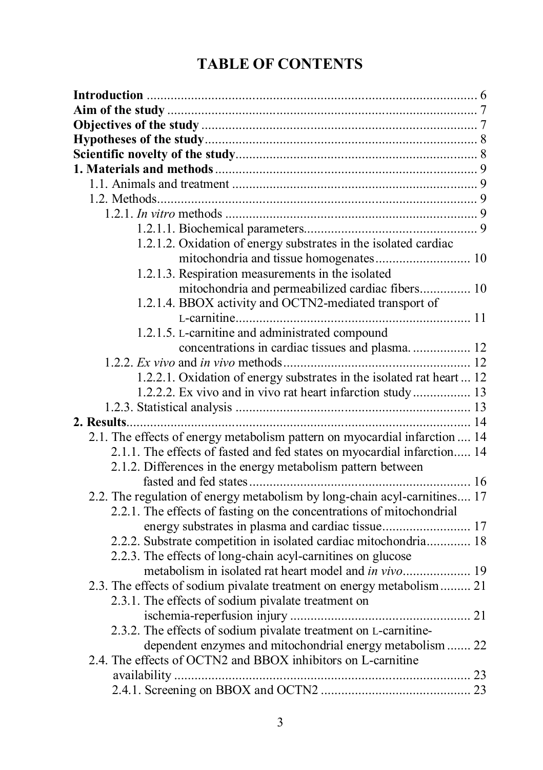# **TABLE OF CONTENTS**

| 1.2.1.2. Oxidation of energy substrates in the isolated cardiac            |  |
|----------------------------------------------------------------------------|--|
| mitochondria and tissue homogenates 10                                     |  |
| 1.2.1.3. Respiration measurements in the isolated                          |  |
| mitochondria and permeabilized cardiac fibers 10                           |  |
| 1.2.1.4. BBOX activity and OCTN2-mediated transport of                     |  |
|                                                                            |  |
| 1.2.1.5. L-carnitine and administrated compound                            |  |
| concentrations in cardiac tissues and plasma 12                            |  |
|                                                                            |  |
| 1.2.2.1. Oxidation of energy substrates in the isolated rat heart  12      |  |
| 1.2.2.2. Ex vivo and in vivo rat heart infarction study 13                 |  |
|                                                                            |  |
|                                                                            |  |
| 2.1. The effects of energy metabolism pattern on myocardial infarction  14 |  |
| 2.1.1. The effects of fasted and fed states on myocardial infarction 14    |  |
| 2.1.2. Differences in the energy metabolism pattern between                |  |
|                                                                            |  |
| 2.2. The regulation of energy metabolism by long-chain acyl-carnitines 17  |  |
| 2.2.1. The effects of fasting on the concentrations of mitochondrial       |  |
| energy substrates in plasma and cardiac tissue 17                          |  |
| 2.2.2. Substrate competition in isolated cardiac mitochondria 18           |  |
| 2.2.3. The effects of long-chain acyl-carnitines on glucose                |  |
|                                                                            |  |
| 2.3. The effects of sodium pivalate treatment on energy metabolism  21     |  |
| 2.3.1. The effects of sodium pivalate treatment on                         |  |
|                                                                            |  |
| 2.3.2. The effects of sodium pivalate treatment on L-carnitine-            |  |
| dependent enzymes and mitochondrial energy metabolism  22                  |  |
| 2.4. The effects of OCTN2 and BBOX inhibitors on L-carnitine               |  |
|                                                                            |  |
|                                                                            |  |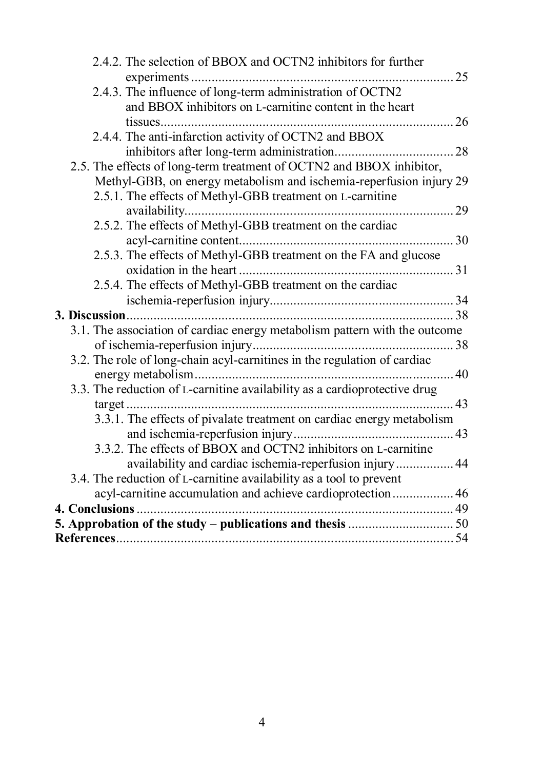| 2.4.2. The selection of BBOX and OCTN2 inhibitors for further              |    |
|----------------------------------------------------------------------------|----|
|                                                                            | 25 |
| 2.4.3. The influence of long-term administration of OCTN2                  |    |
| and BBOX inhibitors on L-carnitine content in the heart                    |    |
|                                                                            | 26 |
| 2.4.4. The anti-infarction activity of OCTN2 and BBOX                      |    |
|                                                                            | 28 |
| 2.5. The effects of long-term treatment of OCTN2 and BBOX inhibitor,       |    |
| Methyl-GBB, on energy metabolism and ischemia-reperfusion injury 29        |    |
| 2.5.1. The effects of Methyl-GBB treatment on L-carnitine                  |    |
|                                                                            | 29 |
| 2.5.2. The effects of Methyl-GBB treatment on the cardiac                  |    |
|                                                                            |    |
| 2.5.3. The effects of Methyl-GBB treatment on the FA and glucose           |    |
|                                                                            |    |
| 2.5.4. The effects of Methyl-GBB treatment on the cardiac                  |    |
|                                                                            |    |
|                                                                            |    |
| 3.1. The association of cardiac energy metabolism pattern with the outcome |    |
|                                                                            |    |
| 3.2. The role of long-chain acyl-carnitines in the regulation of cardiac   |    |
|                                                                            |    |
| 3.3. The reduction of L-carnitine availability as a cardioprotective drug  |    |
|                                                                            |    |
| 3.3.1. The effects of pivalate treatment on cardiac energy metabolism      |    |
|                                                                            |    |
| 3.3.2. The effects of BBOX and OCTN2 inhibitors on L-carnitine             |    |
| availability and cardiac ischemia-reperfusion injury 44                    |    |
| 3.4. The reduction of L-carnitine availability as a tool to prevent        |    |
| acyl-carnitine accumulation and achieve cardioprotection 46                |    |
|                                                                            |    |
|                                                                            |    |
|                                                                            |    |
|                                                                            |    |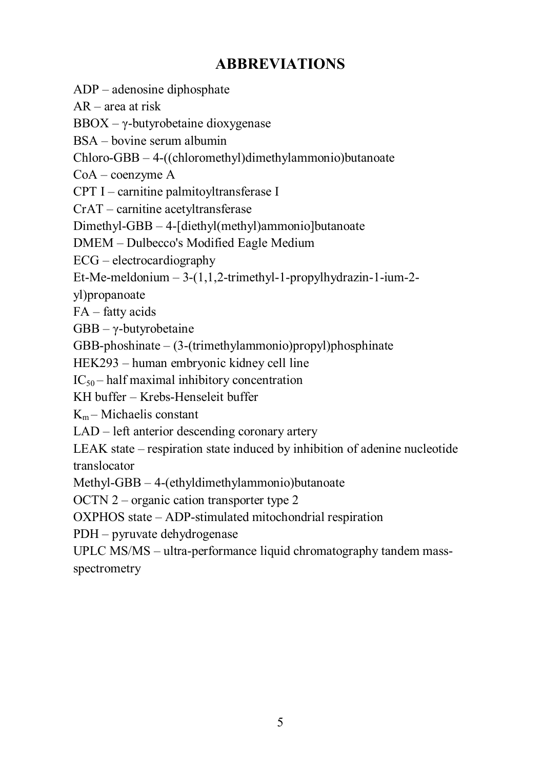### **ABBREVIATIONS**

ADP – adenosine diphosphate

AR – area at risk

BBOX – γ-butyrobetaine dioxygenase

BSA – bovine serum albumin

Chloro-GBB – 4-((chloromethyl)dimethylammonio)butanoate

CoA – coenzyme A

CPT I – carnitine palmitoyltransferase I

CrAT – carnitine acetyltransferase

Dimethyl-GBB – 4-[diethyl(methyl)ammonio]butanoate

DMEM – Dulbecco's Modified Eagle Medium

ECG – electrocardiography

Et-Me-meldonium  $-3-(1,1,2-$ trimethyl-1-propylhydrazin-1-ium-2-

yl)propanoate

FA – fatty acids

GBB –  $\gamma$ -butyrobetaine

GBB-phoshinate – (3-(trimethylammonio)propyl)phosphinate

HEK293 – human embryonic kidney cell line

 $IC_{50}$  – half maximal inhibitory concentration

KH buffer – Krebs-Henseleit buffer

 $K_m$  – Michaelis constant

LAD – left anterior descending coronary artery

LEAK state – respiration state induced by inhibition of adenine nucleotide translocator

Methyl-GBB – 4-(ethyldimethylammonio)butanoate

OCTN 2 – organic cation transporter type 2

OXPHOS state – ADP-stimulated mitochondrial respiration

PDH – pyruvate dehydrogenase

UPLC MS/MS – ultra-performance liquid chromatography tandem massspectrometry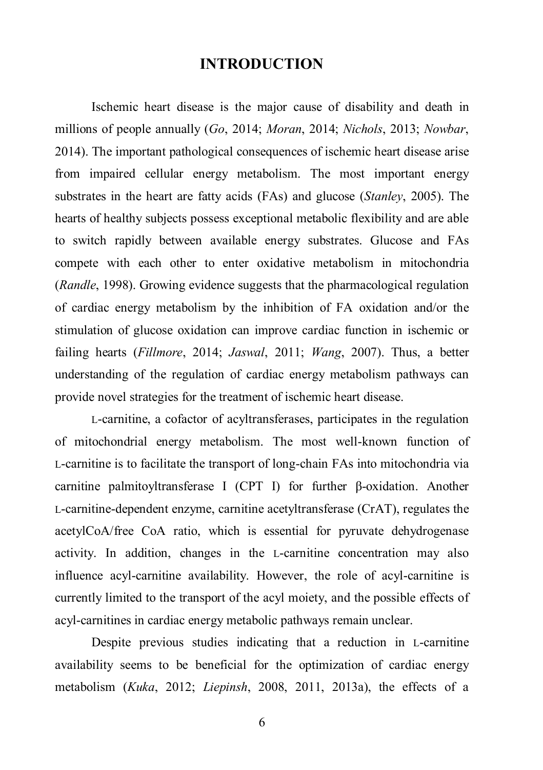#### **INTRODUCTION**

Ischemic heart disease is the major cause of disability and death in millions of people annually (*Go*, 2014; *Moran*, 2014; *Nichols*, 2013; *Nowbar*, 2014). The important pathological consequences of ischemic heart disease arise from impaired cellular energy metabolism. The most important energy substrates in the heart are fatty acids (FAs) and glucose (*Stanley*, 2005). The hearts of healthy subjects possess exceptional metabolic flexibility and are able to switch rapidly between available energy substrates. Glucose and FAs compete with each other to enter oxidative metabolism in mitochondria (*Randle*, 1998). Growing evidence suggests that the pharmacological regulation of cardiac energy metabolism by the inhibition of FA oxidation and/or the stimulation of glucose oxidation can improve cardiac function in ischemic or failing hearts (*Fillmore*, 2014; *Jaswal*, 2011; *Wang*, 2007). Thus, a better understanding of the regulation of cardiac energy metabolism pathways can provide novel strategies for the treatment of ischemic heart disease.

L-carnitine, a cofactor of acyltransferases, participates in the regulation of mitochondrial energy metabolism. The most well-known function of L-carnitine is to facilitate the transport of long-chain FAs into mitochondria via carnitine palmitoyltransferase I (CPT I) for further β-oxidation. Another L-carnitine-dependent enzyme, carnitine acetyltransferase (CrAT), regulates the acetylCoA/free CoA ratio, which is essential for pyruvate dehydrogenase activity. In addition, changes in the L-carnitine concentration may also influence acyl-carnitine availability. However, the role of acyl-carnitine is currently limited to the transport of the acyl moiety, and the possible effects of acyl-carnitines in cardiac energy metabolic pathways remain unclear.

Despite previous studies indicating that a reduction in L-carnitine availability seems to be beneficial for the optimization of cardiac energy metabolism (*Kuka*, 2012; *Liepinsh*, 2008, 2011, 2013a), the effects of a

6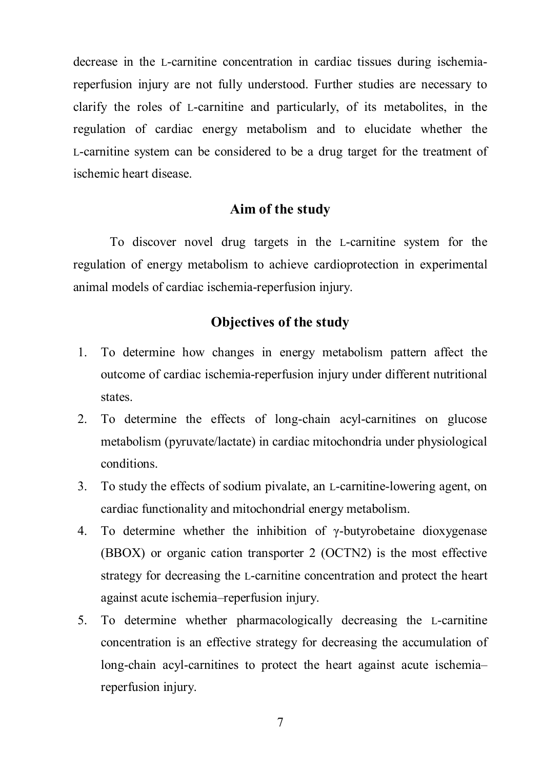decrease in the L-carnitine concentration in cardiac tissues during ischemiareperfusion injury are not fully understood. Further studies are necessary to clarify the roles of L-carnitine and particularly, of its metabolites, in the regulation of cardiac energy metabolism and to elucidate whether the L-carnitine system can be considered to be a drug target for the treatment of ischemic heart disease.

#### **Aim of the study**

To discover novel drug targets in the L-carnitine system for the regulation of energy metabolism to achieve cardioprotection in experimental animal models of cardiac ischemia-reperfusion injury.

### **Objectives of the study**

- 1. To determine how changes in energy metabolism pattern affect the outcome of cardiac ischemia-reperfusion injury under different nutritional states.
- 2. To determine the effects of long-chain acyl-carnitines on glucose metabolism (pyruvate/lactate) in cardiac mitochondria under physiological conditions.
- 3. To study the effects of sodium pivalate, an L-carnitine-lowering agent, on cardiac functionality and mitochondrial energy metabolism.
- 4. To determine whether the inhibition of  $\gamma$ -butyrobetaine dioxygenese (BBOX) or organic cation transporter 2 (OCTN2) is the most effective strategy for decreasing the L-carnitine concentration and protect the heart against acute ischemia–reperfusion injury.
- 5. To determine whether pharmacologically decreasing the L-carnitine concentration is an effective strategy for decreasing the accumulation of long-chain acyl-carnitines to protect the heart against acute ischemia– reperfusion injury.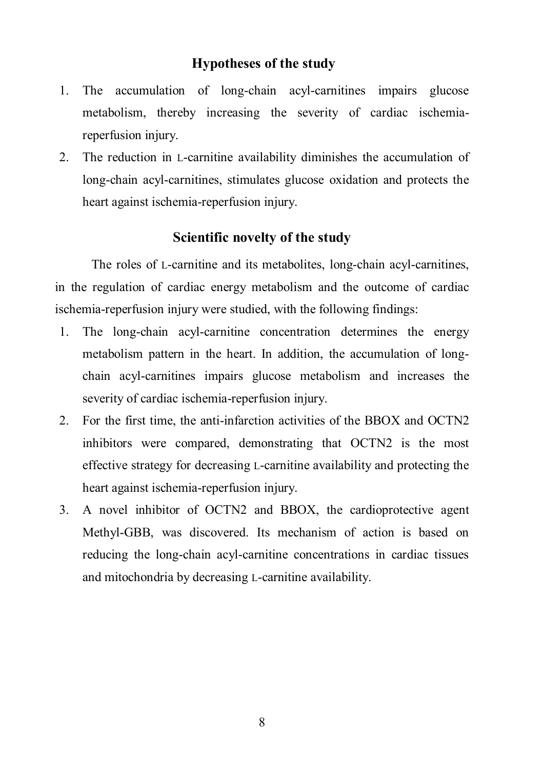#### **Hypotheses of the study**

- 1. The accumulation of long-chain acyl-carnitines impairs glucose metabolism, thereby increasing the severity of cardiac ischemiareperfusion injury.
- 2. The reduction in L-carnitine availability diminishes the accumulation of long-chain acyl-carnitines, stimulates glucose oxidation and protects the heart against ischemia-reperfusion injury.

### **Scientific novelty of the study**

The roles of L-carnitine and its metabolites, long-chain acyl-carnitines, in the regulation of cardiac energy metabolism and the outcome of cardiac ischemia-reperfusion injury were studied, with the following findings:

- 1. The long-chain acyl-carnitine concentration determines the energy metabolism pattern in the heart. In addition, the accumulation of longchain acyl-carnitines impairs glucose metabolism and increases the severity of cardiac ischemia-reperfusion injury.
- 2. For the first time, the anti-infarction activities of the BBOX and OCTN2 inhibitors were compared, demonstrating that OCTN2 is the most effective strategy for decreasing L-carnitine availability and protecting the heart against ischemia-reperfusion injury.
- 3. A novel inhibitor of OCTN2 and BBOX, the cardioprotective agent Methyl-GBB, was discovered. Its mechanism of action is based on reducing the long-chain acyl-carnitine concentrations in cardiac tissues and mitochondria by decreasing L-carnitine availability.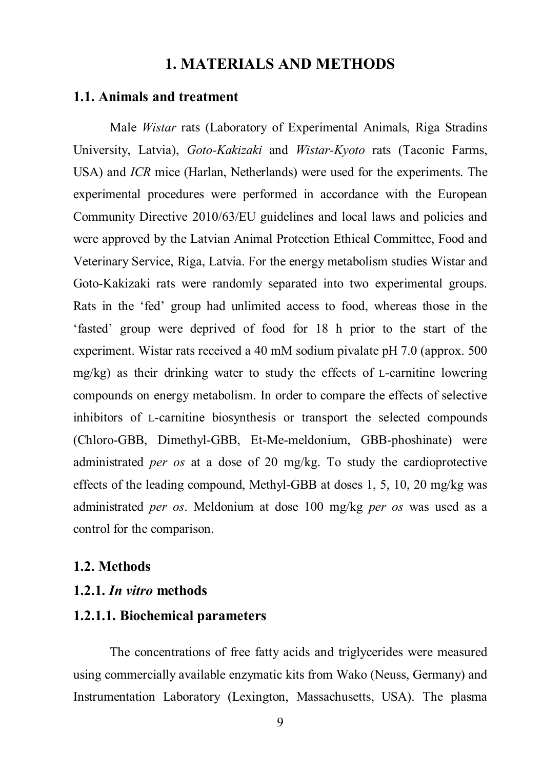### **1. MATERIALS AND METHODS**

#### **1.1. Animals and treatment**

Male *Wistar* rats (Laboratory of Experimental Animals, Riga Stradins University, Latvia), *Goto-Kakizaki* and *Wistar-Kyoto* rats (Taconic Farms, USA) and *ICR* mice (Harlan, Netherlands) were used for the experiments. The experimental procedures were performed in accordance with the European Community Directive 2010/63/EU guidelines and local laws and policies and were approved by the Latvian Animal Protection Ethical Committee, Food and Veterinary Service, Riga, Latvia. For the energy metabolism studies Wistar and Goto-Kakizaki rats were randomly separated into two experimental groups. Rats in the 'fed' group had unlimited access to food, whereas those in the 'fasted' group were deprived of food for 18 h prior to the start of the experiment. Wistar rats received a 40 mM sodium pivalate pH 7.0 (approx. 500 mg/kg) as their drinking water to study the effects of L-carnitine lowering compounds on energy metabolism. In order to compare the effects of selective inhibitors of L-carnitine biosynthesis or transport the selected compounds (Chloro-GBB, Dimethyl-GBB, Et-Me-meldonium, GBB-phoshinate) were administrated *per os* at a dose of 20 mg/kg. To study the cardioprotective effects of the leading compound, Methyl-GBB at doses 1, 5, 10, 20 mg/kg was administrated *per os*. Meldonium at dose 100 mg/kg *per os* was used as a control for the comparison.

#### **1.2. Methods**

#### **1.2.1.** *In vitro* **methods**

#### **1.2.1.1. Biochemical parameters**

The concentrations of free fatty acids and triglycerides were measured using commercially available enzymatic kits from Wako (Neuss, Germany) and Instrumentation Laboratory (Lexington, Massachusetts, USA). The plasma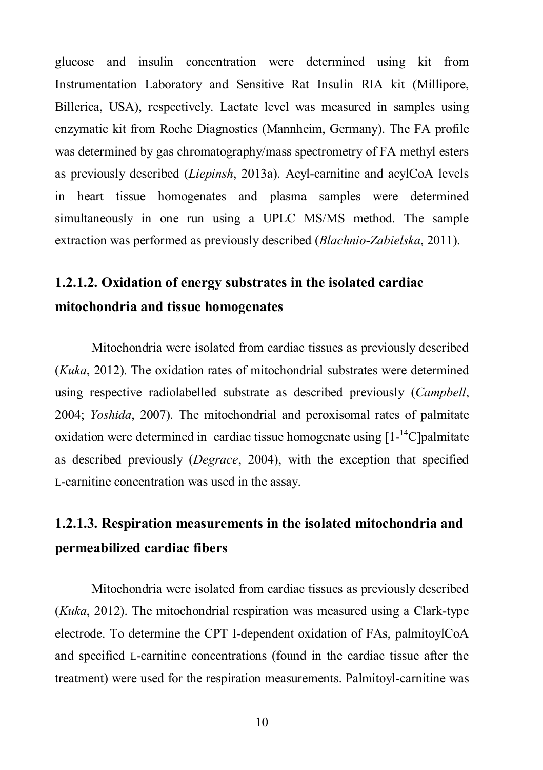glucose and insulin concentration were determined using kit from Instrumentation Laboratory and Sensitive Rat Insulin RIA kit (Millipore, Billerica, USA), respectively. Lactate level was measured in samples using enzymatic kit from Roche Diagnostics (Mannheim, Germany). The FA profile was determined by gas chromatography/mass spectrometry of FA methyl esters as previously described (*Liepinsh*, 2013a). Acyl-carnitine and acylCoA levels in heart tissue homogenates and plasma samples were determined simultaneously in one run using a UPLC MS/MS method. The sample extraction was performed as previously described (*Blachnio-Zabielska*, 2011).

### **1.2.1.2. Oxidation of energy substrates in the isolated cardiac mitochondria and tissue homogenates**

Mitochondria were isolated from cardiac tissues as previously described (*Kuka*, 2012). The oxidation rates of mitochondrial substrates were determined using respective radiolabelled substrate as described previously (*Campbell*, 2004; *Yoshida*, 2007). The mitochondrial and peroxisomal rates of palmitate oxidation were determined in cardiac tissue homogenate using  $[1 - {}^{14}C]$ palmitate as described previously (*Degrace*, 2004), with the exception that specified L-carnitine concentration was used in the assay.

### **1.2.1.3. Respiration measurements in the isolated mitochondria and permeabilized cardiac fibers**

Mitochondria were isolated from cardiac tissues as previously described (*Kuka*, 2012). The mitochondrial respiration was measured using a Clark-type electrode. To determine the CPT I-dependent oxidation of FAs, palmitoylCoA and specified L-carnitine concentrations (found in the cardiac tissue after the treatment) were used for the respiration measurements. Palmitoyl-carnitine was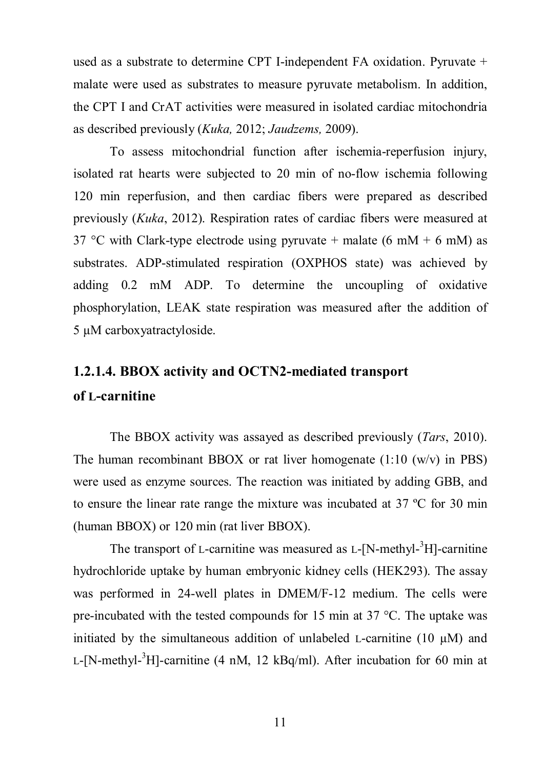used as a substrate to determine CPT I-independent FA oxidation. Pyruvate + malate were used as substrates to measure pyruvate metabolism. In addition, the CPT I and CrAT activities were measured in isolated cardiac mitochondria as described previously (*Kuka,* 2012; *Jaudzems,* 2009).

To assess mitochondrial function after ischemia-reperfusion injury, isolated rat hearts were subjected to 20 min of no-flow ischemia following 120 min reperfusion, and then cardiac fibers were prepared as described previously (*Kuka*, 2012). Respiration rates of cardiac fibers were measured at 37 °C with Clark-type electrode using pyruvate + malate (6 mM + 6 mM) as substrates. ADP-stimulated respiration (OXPHOS state) was achieved by adding 0.2 mM ADP. To determine the uncoupling of oxidative phosphorylation, LEAK state respiration was measured after the addition of 5 µM carboxyatractyloside.

### **1.2.1.4. BBOX activity and OCTN2-mediated transport of L-carnitine**

The BBOX activity was assayed as described previously (*Tars*, 2010). The human recombinant BBOX or rat liver homogenate  $(1:10 \, (w/v)$  in PBS) were used as enzyme sources. The reaction was initiated by adding GBB, and to ensure the linear rate range the mixture was incubated at 37 ºC for 30 min (human BBOX) or 120 min (rat liver BBOX).

The transport of L-carnitine was measured as  $L$ -[N-methyl- $3H$ ]-carnitine hydrochloride uptake by human embryonic kidney cells (HEK293). The assay was performed in 24-well plates in DMEM/F-12 medium. The cells were pre-incubated with the tested compounds for 15 min at 37  $^{\circ}$ C. The uptake was initiated by the simultaneous addition of unlabeled L-carnitine (10 µM) and L-[N-methyl- ${}^{3}$ H]-carnitine (4 nM, 12 kBq/ml). After incubation for 60 min at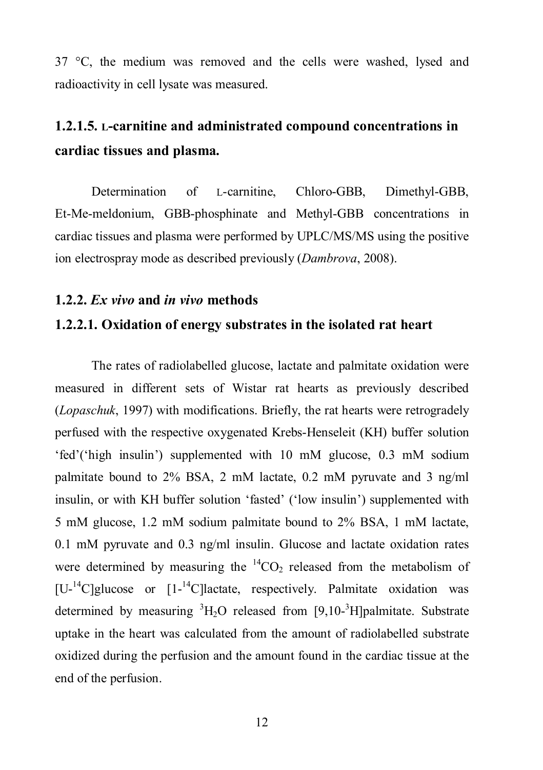37 °C, the medium was removed and the cells were washed, lysed and radioactivity in cell lysate was measured.

### **1.2.1.5. L-carnitine and administrated compound concentrations in cardiac tissues and plasma.**

Determination of L-carnitine, Chloro-GBB, Dimethyl-GBB, Et-Me-meldonium, GBB-phosphinate and Methyl-GBB concentrations in cardiac tissues and plasma were performed by UPLC/MS/MS using the positive ion electrospray mode as described previously (*Dambrova*, 2008).

#### **1.2.2.** *Ex vivo* **and** *in vivo* **methods**

### **1.2.2.1. Oxidation of energy substrates in the isolated rat heart**

The rates of radiolabelled glucose, lactate and palmitate oxidation were measured in different sets of Wistar rat hearts as previously described (*Lopaschuk*, 1997) with modifications. Briefly, the rat hearts were retrogradely perfused with the respective oxygenated Krebs-Henseleit (KH) buffer solution 'fed'('high insulin') supplemented with 10 mM glucose, 0.3 mM sodium palmitate bound to 2% BSA, 2 mM lactate, 0.2 mM pyruvate and 3 ng/ml insulin, or with KH buffer solution 'fasted' ('low insulin') supplemented with 5 mM glucose, 1.2 mM sodium palmitate bound to 2% BSA, 1 mM lactate, 0.1 mM pyruvate and 0.3 ng/ml insulin. Glucose and lactate oxidation rates were determined by measuring the  ${}^{14}CO_2$  released from the metabolism of [U-<sup>14</sup>C]glucose or [1-<sup>14</sup>C]lactate, respectively. Palmitate oxidation was determined by measuring  ${}^{3}H_{2}O$  released from [9,10- ${}^{3}H$ ]palmitate. Substrate uptake in the heart was calculated from the amount of radiolabelled substrate oxidized during the perfusion and the amount found in the cardiac tissue at the end of the perfusion.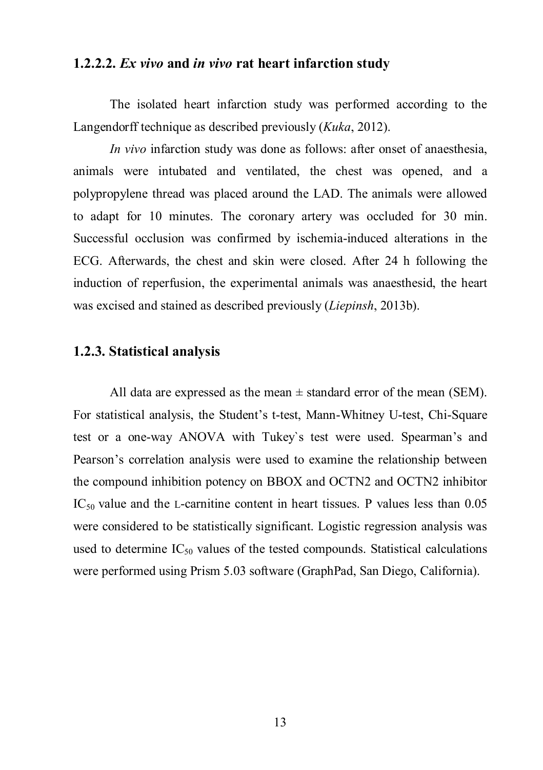#### **1.2.2.2.** *Ex vivo* **and** *in vivo* **rat heart infarction study**

The isolated heart infarction study was performed according to the Langendorff technique as described previously (*Kuka*, 2012).

*In vivo* infarction study was done as follows: after onset of anaesthesia, animals were intubated and ventilated, the chest was opened, and a polypropylene thread was placed around the LAD. The animals were allowed to adapt for 10 minutes. The coronary artery was occluded for 30 min. Successful occlusion was confirmed by ischemia-induced alterations in the ECG. Afterwards, the chest and skin were closed. After 24 h following the induction of reperfusion, the experimental animals was anaesthesid, the heart was excised and stained as described previously (*Liepinsh*, 2013b).

### **1.2.3. Statistical analysis**

All data are expressed as the mean  $\pm$  standard error of the mean (SEM). For statistical analysis, the Student's t-test, Mann-Whitney U-test, Chi-Square test or a one-way ANOVA with Tukey`s test were used. Spearman's and Pearson's correlation analysis were used to examine the relationship between the compound inhibition potency on BBOX and OCTN2 and OCTN2 inhibitor  $IC_{50}$  value and the L-carnitine content in heart tissues. P values less than 0.05 were considered to be statistically significant. Logistic regression analysis was used to determine  $IC_{50}$  values of the tested compounds. Statistical calculations were performed using Prism 5.03 software (GraphPad, San Diego, California).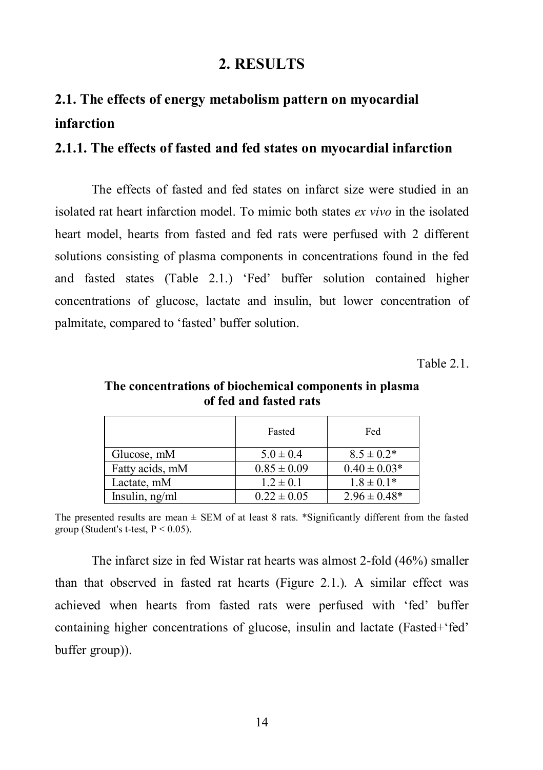### **2. RESULTS**

### **2.1. The effects of energy metabolism pattern on myocardial infarction**

#### **2.1.1. The effects of fasted and fed states on myocardial infarction**

The effects of fasted and fed states on infarct size were studied in an isolated rat heart infarction model. To mimic both states *ex vivo* in the isolated heart model, hearts from fasted and fed rats were perfused with 2 different solutions consisting of plasma components in concentrations found in the fed and fasted states (Table 2.1.) 'Fed' buffer solution contained higher concentrations of glucose, lactate and insulin, but lower concentration of palmitate, compared to 'fasted' buffer solution.

 $Table 2.1$ 

|                  | Fasted          | Fed               |
|------------------|-----------------|-------------------|
| Glucose, mM      | $5.0 \pm 0.4$   | $8.5 \pm 0.2*$    |
| Fatty acids, mM  | $0.85 \pm 0.09$ | $0.40 \pm 0.03*$  |
| Lactate, mM      | $1.2 \pm 0.1$   | $1.8 \pm 0.1*$    |
| Insulin, $ng/ml$ | $0.22 \pm 0.05$ | $2.96 \pm 0.48^*$ |

**The concentrations of biochemical components in plasma of fed and fasted rats**

The presented results are mean  $\pm$  SEM of at least 8 rats. \*Significantly different from the fasted group (Student's t-test,  $P \le 0.05$ ).

The infarct size in fed Wistar rat hearts was almost 2-fold (46%) smaller than that observed in fasted rat hearts (Figure 2.1.). A similar effect was achieved when hearts from fasted rats were perfused with 'fed' buffer containing higher concentrations of glucose, insulin and lactate (Fasted+'fed' buffer group)).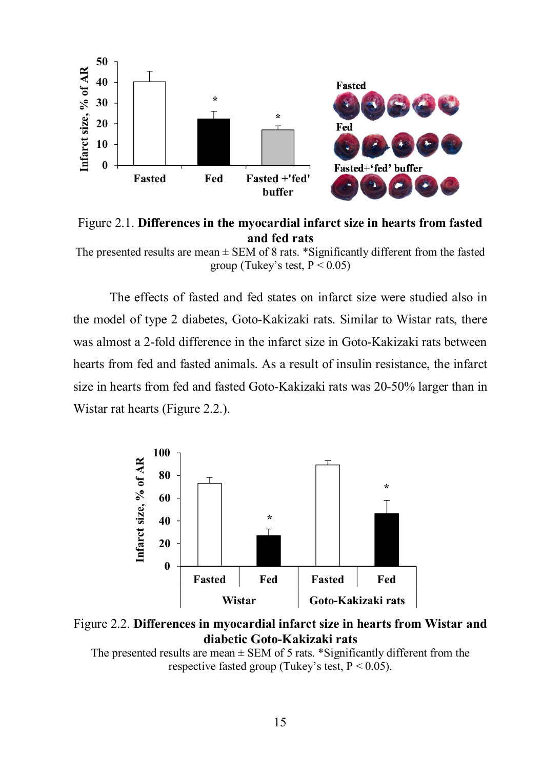

Figure 2.1. **Differences in the myocardial infarct size in hearts from fasted and fed rats**

The effects of fasted and fed states on infarct size were studied also in the model of type 2 diabetes, Goto-Kakizaki rats. Similar to Wistar rats, there was almost a 2-fold difference in the infarct size in Goto-Kakizaki rats between hearts from fed and fasted animals. As a result of insulin resistance, the infarct size in hearts from fed and fasted Goto-Kakizaki rats was 20-50% larger than in Wistar rat hearts (Figure 2.2.).



Figure 2.2. **Differences in myocardial infarct size in hearts from Wistar and diabetic Goto-Kakizaki rats**

The presented results are mean  $\pm$  SEM of 5 rats. \*Significantly different from the respective fasted group (Tukey's test,  $P < 0.05$ ).

The presented results are mean  $\pm$  SEM of 8 rats. \*Significantly different from the fasted group (Tukey's test,  $P < 0.05$ )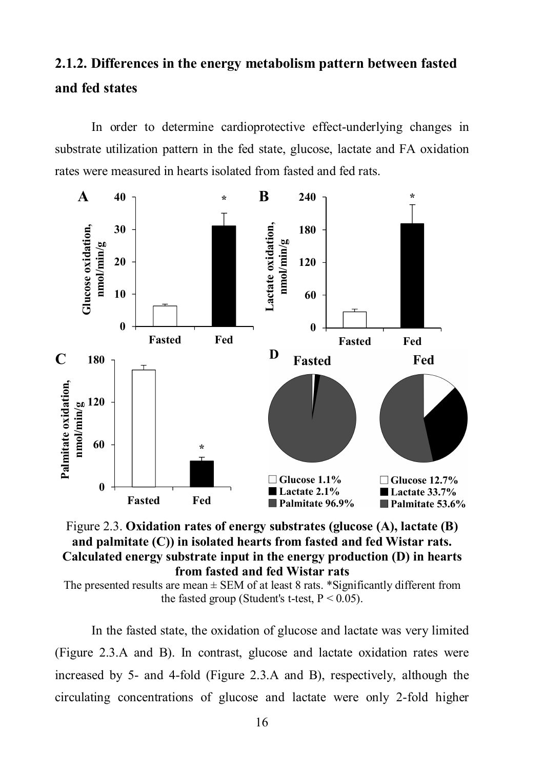# **2.1.2. Differences in the energy metabolism pattern between fasted and fed states**

In order to determine cardioprotective effect-underlying changes in substrate utilization pattern in the fed state, glucose, lactate and FA oxidation rates were measured in hearts isolated from fasted and fed rats.





The presented results are mean  $\pm$  SEM of at least 8 rats. \*Significantly different from the fasted group (Student's t-test,  $P < 0.05$ ).

In the fasted state, the oxidation of glucose and lactate was very limited (Figure 2.3.A and B). In contrast, glucose and lactate oxidation rates were increased by 5- and 4-fold (Figure 2.3.A and B), respectively, although the circulating concentrations of glucose and lactate were only 2-fold higher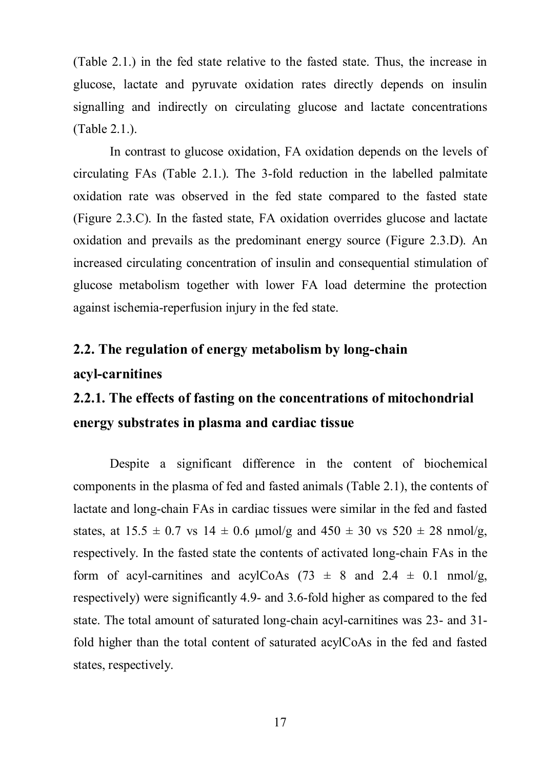(Table 2.1.) in the fed state relative to the fasted state. Thus, the increase in glucose, lactate and pyruvate oxidation rates directly depends on insulin signalling and indirectly on circulating glucose and lactate concentrations (Table 2.1.).

In contrast to glucose oxidation, FA oxidation depends on the levels of circulating FAs (Table 2.1.). The 3-fold reduction in the labelled palmitate oxidation rate was observed in the fed state compared to the fasted state (Figure 2.3.C). In the fasted state, FA oxidation overrides glucose and lactate oxidation and prevails as the predominant energy source (Figure 2.3.D). An increased circulating concentration of insulin and consequential stimulation of glucose metabolism together with lower FA load determine the protection against ischemia-reperfusion injury in the fed state.

### **2.2. The regulation of energy metabolism by long-chain acyl-carnitines**

# **2.2.1. The effects of fasting on the concentrations of mitochondrial energy substrates in plasma and cardiac tissue**

Despite a significant difference in the content of biochemical components in the plasma of fed and fasted animals (Table 2.1), the contents of lactate and long-chain FAs in cardiac tissues were similar in the fed and fasted states, at  $15.5 \pm 0.7$  vs  $14 \pm 0.6$  µmol/g and  $450 \pm 30$  vs  $520 \pm 28$  nmol/g, respectively. In the fasted state the contents of activated long-chain FAs in the form of acyl-carnitines and acylCoAs  $(73 \pm 8 \text{ and } 2.4 \pm 0.1 \text{ mmol/g})$ respectively) were significantly 4.9- and 3.6-fold higher as compared to the fed state. The total amount of saturated long-chain acyl-carnitines was 23- and 31 fold higher than the total content of saturated acylCoAs in the fed and fasted states, respectively.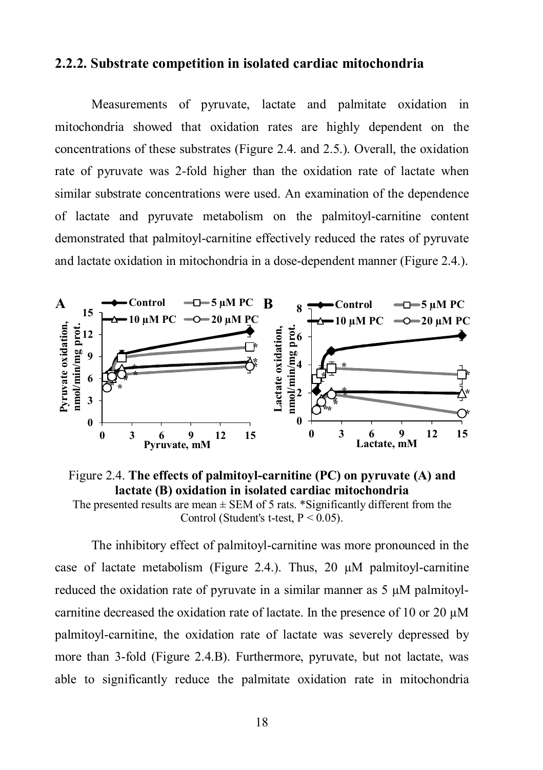#### **2.2.2. Substrate competition in isolated cardiac mitochondria**

Measurements of pyruvate, lactate and palmitate oxidation in mitochondria showed that oxidation rates are highly dependent on the concentrations of these substrates (Figure 2.4. and 2.5.). Overall, the oxidation rate of pyruvate was 2-fold higher than the oxidation rate of lactate when similar substrate concentrations were used. An examination of the dependence of lactate and pyruvate metabolism on the palmitoyl-carnitine content demonstrated that palmitoyl-carnitine effectively reduced the rates of pyruvate and lactate oxidation in mitochondria in a dose-dependent manner (Figure 2.4.).



Figure 2.4. **The effects of palmitoyl-carnitine (PC) on pyruvate (A) and lactate (B) oxidation in isolated cardiac mitochondria** The presented results are mean  $\pm$  SEM of 5 rats. \*Significantly different from the

Control (Student's t-test,  $P < 0.05$ ).

The inhibitory effect of palmitoyl-carnitine was more pronounced in the case of lactate metabolism (Figure 2.4.). Thus, 20  $\mu$ M palmitoyl-carnitine reduced the oxidation rate of pyruvate in a similar manner as  $5 \mu M$  palmitoylcarnitine decreased the oxidation rate of lactate. In the presence of 10 or 20  $\mu$ M palmitoyl-carnitine, the oxidation rate of lactate was severely depressed by more than 3-fold (Figure 2.4.B). Furthermore, pyruvate, but not lactate, was able to significantly reduce the palmitate oxidation rate in mitochondria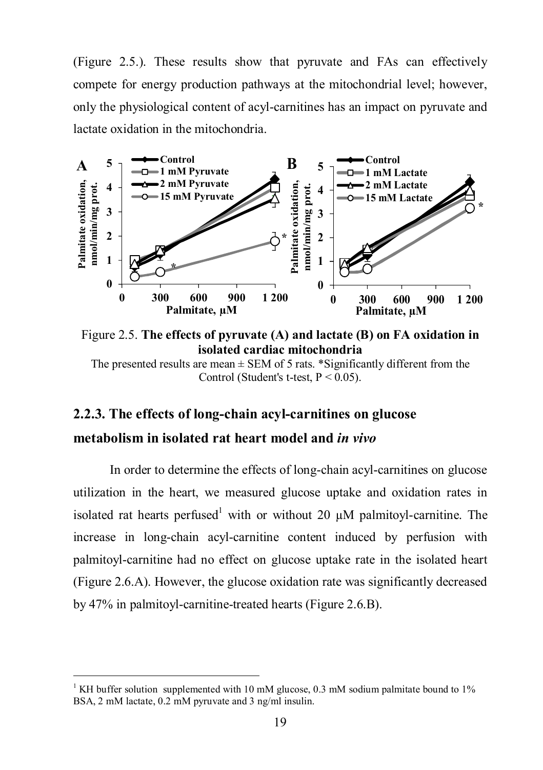(Figure 2.5.). These results show that pyruvate and FAs can effectively compete for energy production pathways at the mitochondrial level; however, only the physiological content of acyl-carnitines has an impact on pyruvate and lactate oxidation in the mitochondria.



Figure 2.5. **The effects of pyruvate (A) and lactate (B) on FA oxidation in isolated cardiac mitochondria**

The presented results are mean  $\pm$  SEM of 5 rats. \*Significantly different from the Control (Student's t-test,  $P < 0.05$ ).

#### **2.2.3. The effects of long-chain acyl-carnitines on glucose**

### **metabolism in isolated rat heart model and** *in vivo*

 $\overline{a}$ 

In order to determine the effects of long-chain acyl-carnitines on glucose utilization in the heart, we measured glucose uptake and oxidation rates in isolated rat hearts perfused<sup>1</sup> with or without 20  $\mu$ M palmitoyl-carnitine. The increase in long-chain acyl-carnitine content induced by perfusion with palmitoyl-carnitine had no effect on glucose uptake rate in the isolated heart (Figure 2.6.A). However, the glucose oxidation rate was significantly decreased by 47% in palmitoyl-carnitine-treated hearts (Figure 2.6.B).

<sup>&</sup>lt;sup>1</sup> KH buffer solution supplemented with 10 mM glucose, 0.3 mM sodium palmitate bound to 1% BSA, 2 mM lactate, 0.2 mM pyruvate and 3 ng/ml insulin.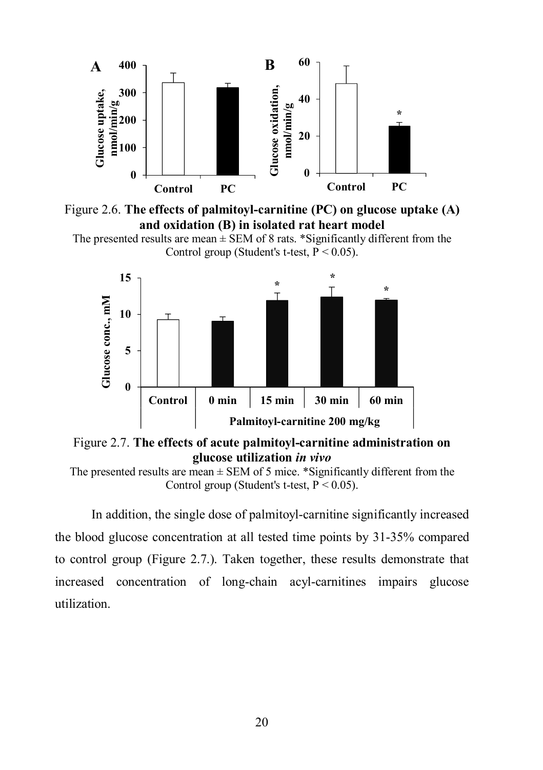



```
The presented results are mean \pm SEM of 8 rats. *Significantly different from the
        Control group (Student's t-test, P < 0.05).
```


Figure 2.7. **The effects of acute palmitoyl-carnitine administration on glucose utilization** *in vivo*

In addition, the single dose of palmitoyl-carnitine significantly increased the blood glucose concentration at all tested time points by 31-35% compared to control group (Figure 2.7.). Taken together, these results demonstrate that increased concentration of long-chain acyl-carnitines impairs glucose utilization.

The presented results are mean  $\pm$  SEM of 5 mice. \*Significantly different from the Control group (Student's t-test,  $P \le 0.05$ ).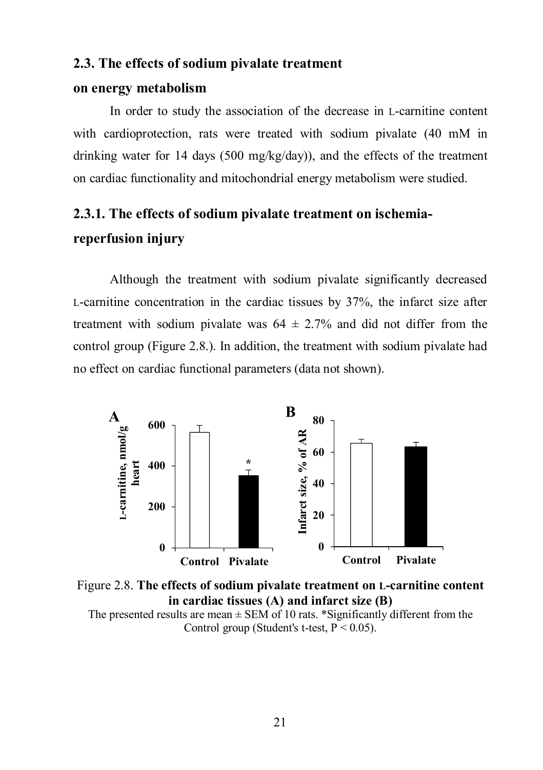#### **2.3. The effects of sodium pivalate treatment**

#### **on energy metabolism**

In order to study the association of the decrease in L-carnitine content with cardioprotection, rats were treated with sodium pivalate (40 mM in drinking water for 14 days (500 mg/kg/day)), and the effects of the treatment on cardiac functionality and mitochondrial energy metabolism were studied.

### **2.3.1. The effects of sodium pivalate treatment on ischemiareperfusion injury**

Although the treatment with sodium pivalate significantly decreased L-carnitine concentration in the cardiac tissues by 37%, the infarct size after treatment with sodium pivalate was  $64 \pm 2.7\%$  and did not differ from the control group (Figure 2.8.). In addition, the treatment with sodium pivalate had no effect on cardiac functional parameters (data not shown).



Figure 2.8. **The effects of sodium pivalate treatment on L-carnitine content in cardiac tissues (A) and infarct size (B)** The presented results are mean  $\pm$  SEM of 10 rats. \*Significantly different from the

Control group (Student's t-test,  $P < 0.05$ ).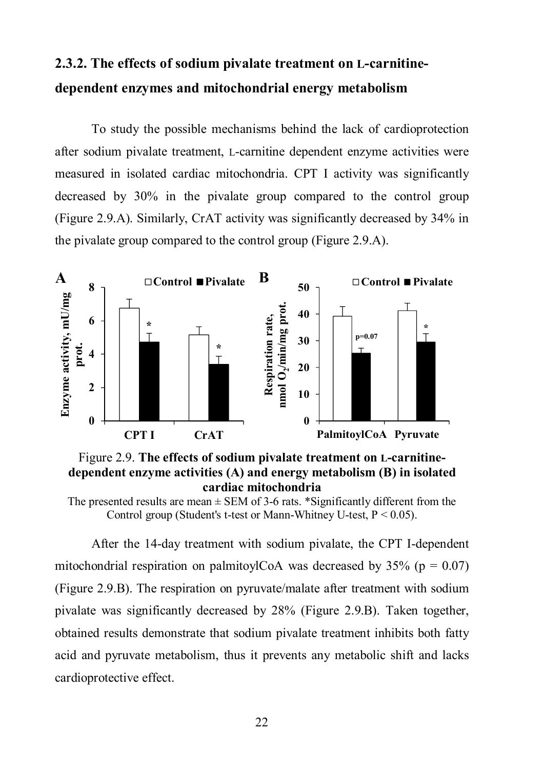### **2.3.2. The effects of sodium pivalate treatment on L-carnitinedependent enzymes and mitochondrial energy metabolism**

To study the possible mechanisms behind the lack of cardioprotection after sodium pivalate treatment, L-carnitine dependent enzyme activities were measured in isolated cardiac mitochondria. CPT I activity was significantly decreased by 30% in the pivalate group compared to the control group (Figure 2.9.A). Similarly, CrAT activity was significantly decreased by 34% in the pivalate group compared to the control group (Figure 2.9.A).







After the 14-day treatment with sodium pivalate, the CPT I-dependent mitochondrial respiration on palmitoylCoA was decreased by  $35\%$  (p = 0.07) (Figure 2.9.B). The respiration on pyruvate/malate after treatment with sodium pivalate was significantly decreased by 28% (Figure 2.9.B). Taken together, obtained results demonstrate that sodium pivalate treatment inhibits both fatty acid and pyruvate metabolism, thus it prevents any metabolic shift and lacks cardioprotective effect.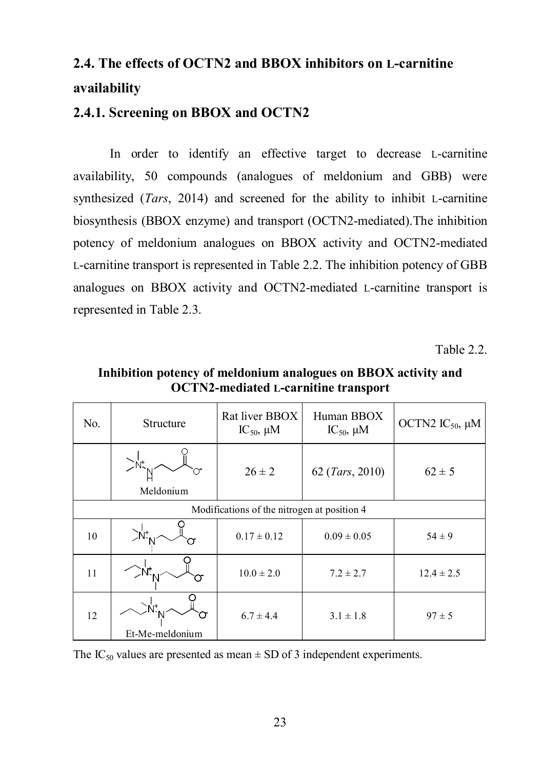# **2.4. The effects of OCTN2 and BBOX inhibitors on L-carnitine availability**

### **2.4.1. Screening on BBOX and OCTN2**

In order to identify an effective target to decrease L-carnitine availability, 50 compounds (analogues of meldonium and GBB) were synthesized (*Tars*, 2014) and screened for the ability to inhibit L-carnitine biosynthesis (BBOX enzyme) and transport (OCTN2-mediated).The inhibition potency of meldonium analogues on BBOX activity and OCTN2-mediated L-carnitine transport is represented in Table 2.2. The inhibition potency of GBB analogues on BBOX activity and OCTN2-mediated L-carnitine transport is represented in Table 2.3.

Table 2.2.

| No. | Structure                                   | Rat liver BBOX<br>$IC_{50}$ , $\mu$ M | Human BBOX<br>$IC_{50}$ , $\mu$ M | OCTN2 $IC_{50}$ , $\mu$ M |  |
|-----|---------------------------------------------|---------------------------------------|-----------------------------------|---------------------------|--|
|     | Meldonium                                   | $26 \pm 2$                            | 62 (Tars, 2010)                   | $62 \pm 5$                |  |
|     | Modifications of the nitrogen at position 4 |                                       |                                   |                           |  |
| 10  | ∑Ńt' <sub>N</sub>                           | $0.17 \pm 0.12$                       | $0.09 \pm 0.05$                   | $54 \pm 9$                |  |
| 11  |                                             | $10.0 \pm 2.0$                        | $7.2 \pm 2.7$                     | $12.4 \pm 2.5$            |  |
| 12  | Et-Me-meldonium                             | $6.7 \pm 4.4$                         | $3.1 \pm 1.8$                     | $97 \pm 5$                |  |

**Inhibition potency of meldonium analogues on BBOX activity and OCTN2-mediated L-carnitine transport**

The IC<sub>50</sub> values are presented as mean  $\pm$  SD of 3 independent experiments.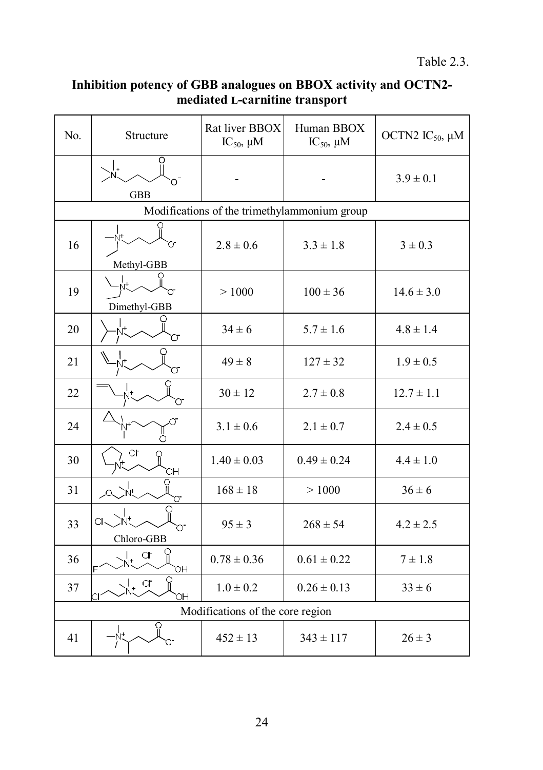#### **Inhibition potency of GBB analogues on BBOX activity and OCTN2 mediated L-carnitine transport**

| No.                              | Structure           | Rat liver BBOX<br>$IC_{50}$ , $\mu M$        | Human BBOX<br>$IC_{50}$ , $\mu M$ | OCTN2 $IC_{50}$ , $\mu$ M |
|----------------------------------|---------------------|----------------------------------------------|-----------------------------------|---------------------------|
|                                  | O<br><b>GBB</b>     |                                              |                                   | $3.9 \pm 0.1$             |
|                                  |                     | Modifications of the trimethylammonium group |                                   |                           |
| 16                               | Methyl-GBB          | $2.8 \pm 0.6$                                | $3.3 \pm 1.8$                     | $3 \pm 0.3$               |
| 19                               | Ńt.<br>Dimethyl-GBB | >1000                                        | $100 \pm 36$                      | $14.6 \pm 3.0$            |
| 20                               |                     | $34 \pm 6$                                   | $5.7 \pm 1.6$                     | $4.8 \pm 1.4$             |
| 21                               |                     | $49 \pm 8$                                   | $127 \pm 32$                      | $1.9 \pm 0.5$             |
| 22                               |                     | $30 \pm 12$                                  | $2.7 \pm 0.8$                     | $12.7 \pm 1.1$            |
| 24                               |                     | $3.1 \pm 0.6$                                | $2.1 \pm 0.7$                     | $2.4 \pm 0.5$             |
| 30                               | сг<br>OН            | $1.40 \pm 0.03$                              | $0.49 \pm 0.24$                   | $4.4 \pm 1.0$             |
| 31                               | n<br>'Nt            | $168 \pm 18$                                 | >1000                             | $36 \pm 6$                |
| 33                               | Q.<br>Chloro-GBB    | $95 \pm 3$                                   | $268 \pm 54$                      | $4.2 \pm 2.5$             |
| 36                               | CF<br>Ë<br>OH       | $0.78 \pm 0.36$                              | $0.61 \pm 0.22$                   | $7 \pm 1.8$               |
| 37                               | CL.<br>ЮH           | $1.0 \pm 0.2$                                | $0.26 \pm 0.13$                   | $33 \pm 6$                |
| Modifications of the core region |                     |                                              |                                   |                           |
| 41                               | O                   | $452 \pm 13$                                 | $343 \pm 117$                     | $26 \pm 3$                |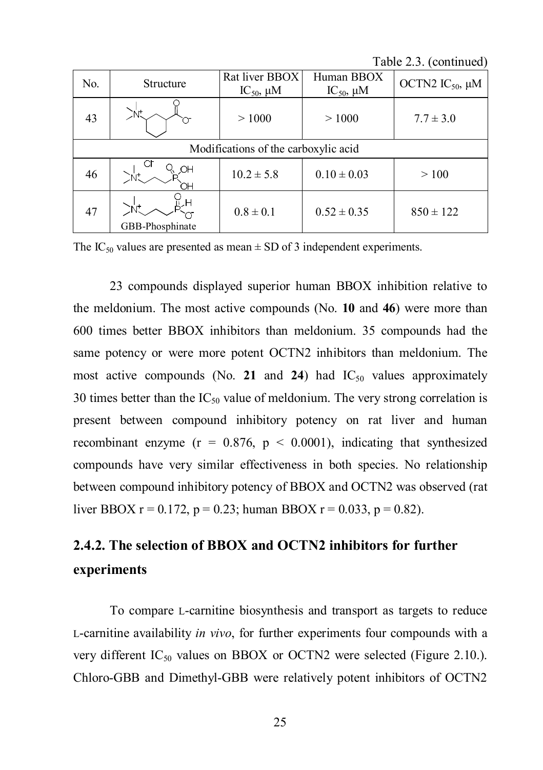Table 2.3. (continued)

| No.                                  | Structure       | Rat liver BBOX<br>$IC_{50}$ , $\mu$ M | Human BBOX<br>IC <sub>50</sub> , $\mu$ M | OCTN2 IC <sub>50</sub> , µM |  |
|--------------------------------------|-----------------|---------------------------------------|------------------------------------------|-----------------------------|--|
| 43                                   | `N.             | >1000                                 | >1000                                    | $7.7 \pm 3.0$               |  |
| Modifications of the carboxylic acid |                 |                                       |                                          |                             |  |
| 46                                   | NО              | $10.2 \pm 5.8$                        | $0.10 \pm 0.03$                          | >100                        |  |
| 47                                   | GBB-Phosphinate | $0.8 \pm 0.1$                         | $0.52 \pm 0.35$                          | $850 \pm 122$               |  |

The IC<sub>50</sub> values are presented as mean  $\pm$  SD of 3 independent experiments.

23 compounds displayed superior human BBOX inhibition relative to the meldonium. The most active compounds (No. **10** and **46**) were more than 600 times better BBOX inhibitors than meldonium. 35 compounds had the same potency or were more potent OCTN2 inhibitors than meldonium. The most active compounds (No. 21 and 24) had  $IC_{50}$  values approximately 30 times better than the  $IC_{50}$  value of meldonium. The very strong correlation is present between compound inhibitory potency on rat liver and human recombinant enzyme ( $r = 0.876$ ,  $p < 0.0001$ ), indicating that synthesized compounds have very similar effectiveness in both species. No relationship between compound inhibitory potency of BBOX and OCTN2 was observed (rat liver BBOX  $r = 0.172$ ,  $p = 0.23$ ; human BBOX  $r = 0.033$ ,  $p = 0.82$ ).

## **2.4.2. The selection of BBOX and OCTN2 inhibitors for further experiments**

To compare L-carnitine biosynthesis and transport as targets to reduce L-carnitine availability *in vivo*, for further experiments four compounds with a very different  $IC_{50}$  values on BBOX or OCTN2 were selected (Figure 2.10.). Chloro-GBB and Dimethyl-GBB were relatively potent inhibitors of OCTN2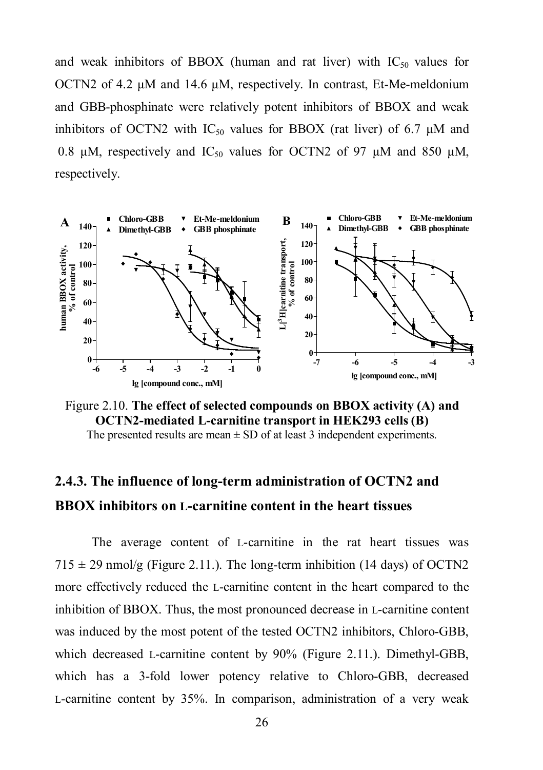and weak inhibitors of BBOX (human and rat liver) with  $IC_{50}$  values for OCTN2 of 4.2 μM and 14.6 μM, respectively. In contrast, Et-Me-meldonium and GBB-phosphinate were relatively potent inhibitors of BBOX and weak inhibitors of OCTN2 with  $IC_{50}$  values for BBOX (rat liver) of 6.7  $\mu$ M and 0.8 μM, respectively and IC<sub>50</sub> values for OCTN2 of 97 μM and 850 μM, respectively.



Figure 2.10. **The effect of selected compounds on BBOX activity (A) and OCTN2-mediated L-carnitine transport in HEK293 cells (B)** The presented results are mean  $\pm$  SD of at least 3 independent experiments.

### **2.4.3. The influence of long-term administration of OCTN2 and BBOX inhibitors on L-carnitine content in the heart tissues**

The average content of L-carnitine in the rat heart tissues was  $715 \pm 29$  nmol/g (Figure 2.11.). The long-term inhibition (14 days) of OCTN2 more effectively reduced the L-carnitine content in the heart compared to the inhibition of BBOX. Thus, the most pronounced decrease in L-carnitine content was induced by the most potent of the tested OCTN2 inhibitors, Chloro-GBB, which decreased L-carnitine content by 90% (Figure 2.11.). Dimethyl-GBB, which has a 3-fold lower potency relative to Chloro-GBB, decreased L-carnitine content by 35%. In comparison, administration of a very weak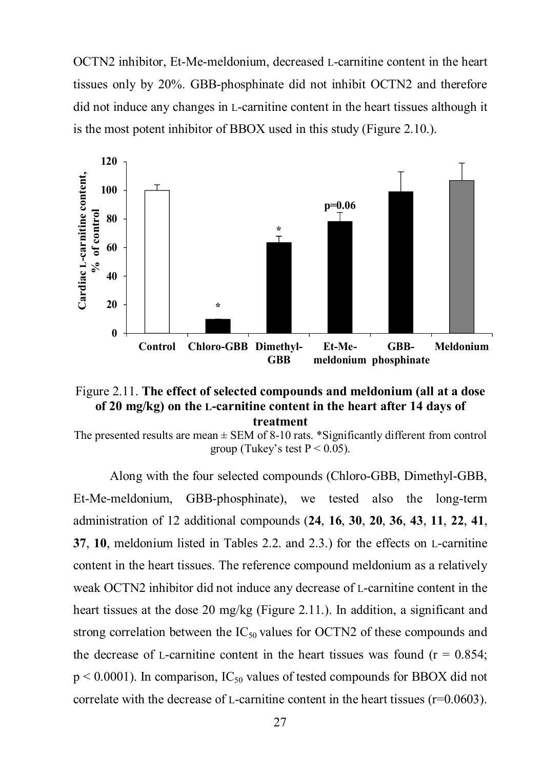OCTN2 inhibitor, Et-Me-meldonium, decreased L-carnitine content in the heart tissues only by 20%. GBB-phosphinate did not inhibit OCTN2 and therefore did not induce any changes in L-carnitine content in the heart tissues although it is the most potent inhibitor of BBOX used in this study (Figure 2.10.).





The presented results are mean  $\pm$  SEM of 8-10 rats. \*Significantly different from control group (Tukey's test  $P < 0.05$ ).

Along with the four selected compounds (Chloro-GBB, Dimethyl-GBB, Et-Me-meldonium, GBB-phosphinate), we tested also the long-term administration of 12 additional compounds (**24**, **16**, **30**, **20**, **36**, **43**, **11**, **22**, **41**, **37**, **10**, meldonium listed in Tables 2.2. and 2.3.) for the effects on L-carnitine content in the heart tissues. The reference compound meldonium as a relatively weak OCTN2 inhibitor did not induce any decrease of L-carnitine content in the heart tissues at the dose 20 mg/kg (Figure 2.11.). In addition, a significant and strong correlation between the  $IC_{50}$  values for OCTN2 of these compounds and the decrease of L-carnitine content in the heart tissues was found ( $r = 0.854$ ;  $p \le 0.0001$ ). In comparison, IC<sub>50</sub> values of tested compounds for BBOX did not correlate with the decrease of L-carnitine content in the heart tissues  $(r=0.0603)$ .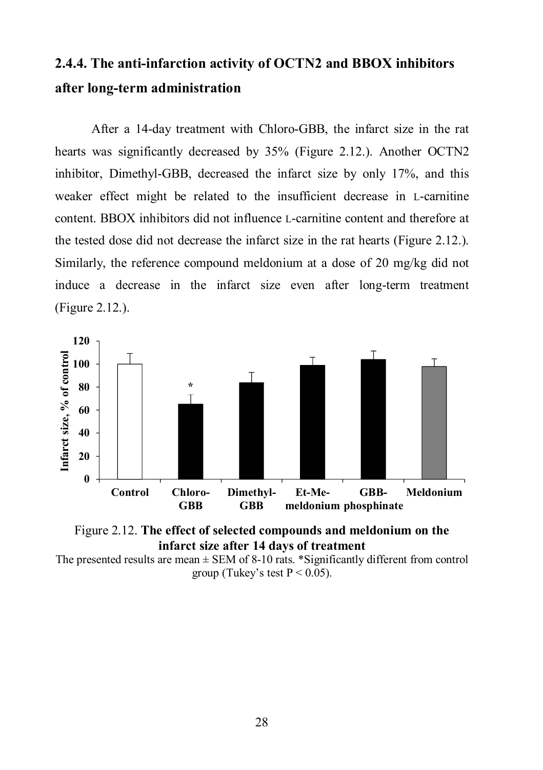### **2.4.4. The anti-infarction activity of OCTN2 and BBOX inhibitors after long-term administration**

After a 14-day treatment with Chloro-GBB, the infarct size in the rat hearts was significantly decreased by 35% (Figure 2.12.). Another OCTN2 inhibitor, Dimethyl-GBB, decreased the infarct size by only 17%, and this weaker effect might be related to the insufficient decrease in L-carnitine content. BBOX inhibitors did not influence L-carnitine content and therefore at the tested dose did not decrease the infarct size in the rat hearts (Figure 2.12.). Similarly, the reference compound meldonium at a dose of 20 mg/kg did not induce a decrease in the infarct size even after long-term treatment (Figure 2.12.).





The presented results are mean  $\pm$  SEM of 8-10 rats. \*Significantly different from control group (Tukey's test  $P < 0.05$ ).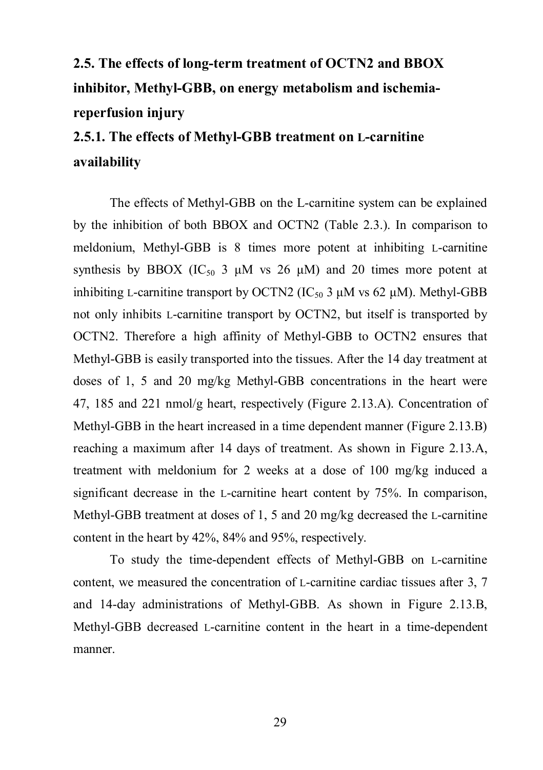# **2.5. The effects of long-term treatment of OCTN2 and BBOX inhibitor, Methyl-GBB, on energy metabolism and ischemiareperfusion injury**

# **2.5.1. The effects of Methyl-GBB treatment on L-carnitine availability**

The effects of Methyl-GBB on the L-carnitine system can be explained by the inhibition of both BBOX and OCTN2 (Table 2.3.). In comparison to meldonium, Methyl-GBB is 8 times more potent at inhibiting L-carnitine synthesis by BBOX (IC<sub>50</sub> 3  $\mu$ M vs 26  $\mu$ M) and 20 times more potent at inhibiting L-carnitine transport by OCTN2 ( $IC_{50}$  3  $\mu$ M vs 62  $\mu$ M). Methyl-GBB not only inhibits L-carnitine transport by OCTN2, but itself is transported by OCTN2. Therefore a high affinity of Methyl-GBB to OCTN2 ensures that Methyl-GBB is easily transported into the tissues. After the 14 day treatment at doses of 1, 5 and 20 mg/kg Methyl-GBB concentrations in the heart were 47, 185 and 221 nmol/g heart, respectively (Figure 2.13.A). Concentration of Methyl-GBB in the heart increased in a time dependent manner (Figure 2.13.B) reaching a maximum after 14 days of treatment. As shown in Figure 2.13.A, treatment with meldonium for 2 weeks at a dose of 100 mg/kg induced a significant decrease in the L-carnitine heart content by 75%. In comparison, Methyl-GBB treatment at doses of 1, 5 and 20 mg/kg decreased the L-carnitine content in the heart by 42%, 84% and 95%, respectively.

To study the time-dependent effects of Methyl-GBB on L-carnitine content, we measured the concentration of L-carnitine cardiac tissues after 3, 7 and 14-day administrations of Methyl-GBB. As shown in Figure 2.13.B, Methyl-GBB decreased L-carnitine content in the heart in a time-dependent manner.

29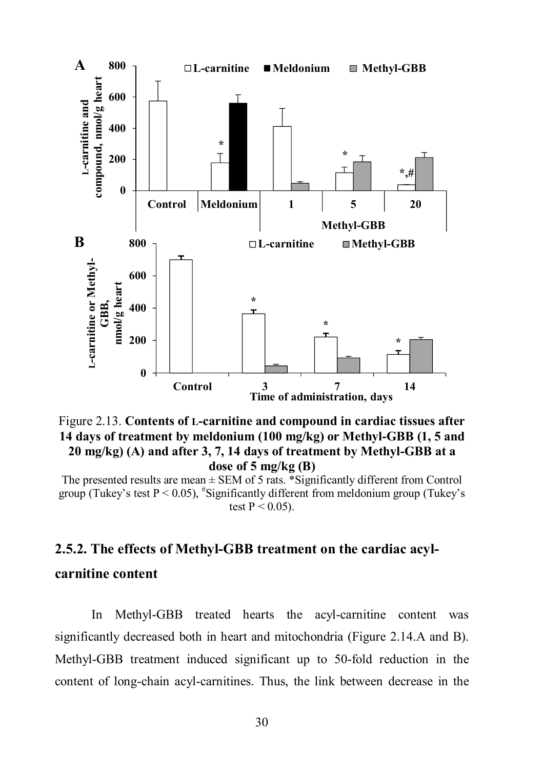

Figure 2.13. **Contents of L-carnitine and compound in cardiac tissues after 14 days of treatment by meldonium (100 mg/kg) or Methyl-GBB (1, 5 and 20 mg/kg) (A) and after 3, 7, 14 days of treatment by Methyl-GBB at a dose of 5 mg/kg (B)**

The presented results are mean  $\pm$  SEM of 5 rats. \*Significantly different from Control group (Tukey's test  $P < 0.05$ ),  $\text{\textsuperscript{#}S}$  ignificantly different from meldonium group (Tukey's test  $P < 0.05$ ).

# **2.5.2. The effects of Methyl-GBB treatment on the cardiac acylcarnitine content**

In Methyl-GBB treated hearts the acyl-carnitine content was significantly decreased both in heart and mitochondria (Figure 2.14.A and B). Methyl-GBB treatment induced significant up to 50-fold reduction in the content of long-chain acyl-carnitines. Thus, the link between decrease in the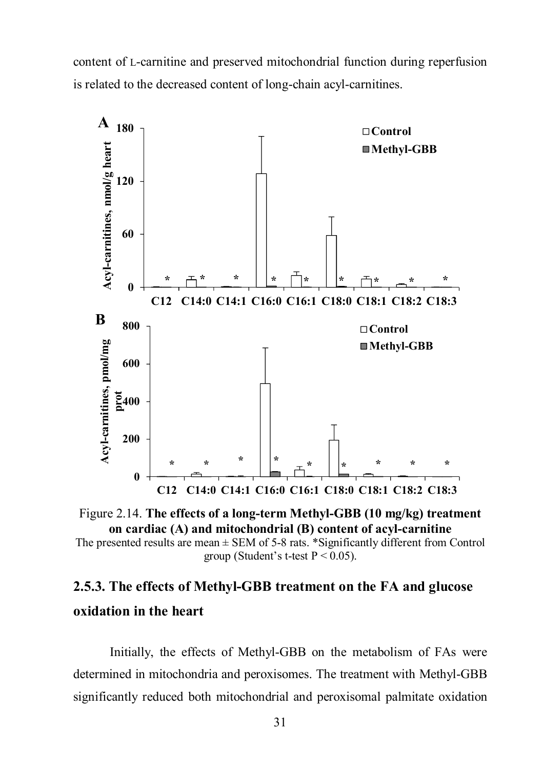content of L-carnitine and preserved mitochondrial function during reperfusion is related to the decreased content of long-chain acyl-carnitines.



Figure 2.14. **The effects of a long-term Methyl-GBB (10 mg/kg) treatment on cardiac (A) and mitochondrial (B) content of acyl-carnitine**

The presented results are mean  $\pm$  SEM of 5-8 rats. \*Significantly different from Control group (Student's t-test  $P < 0.05$ ).

# **2.5.3. The effects of Methyl-GBB treatment on the FA and glucose oxidation in the heart**

Initially, the effects of Methyl-GBB on the metabolism of FAs were determined in mitochondria and peroxisomes. The treatment with Methyl-GBB significantly reduced both mitochondrial and peroxisomal palmitate oxidation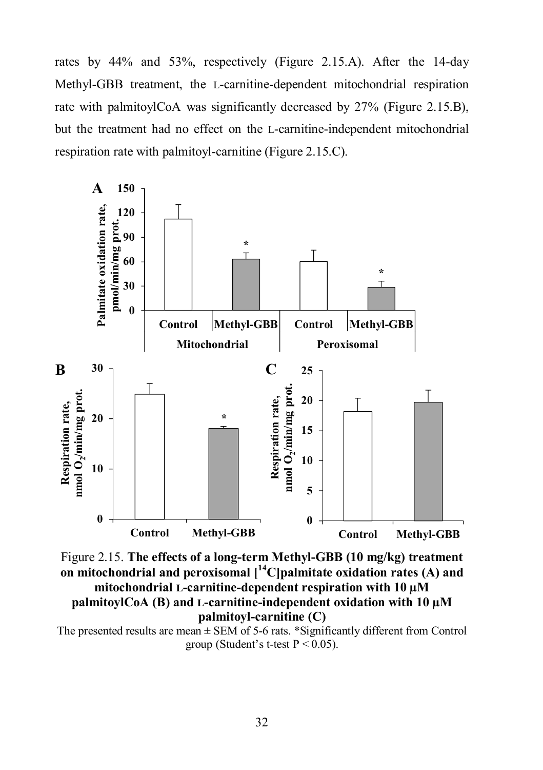rates by 44% and 53%, respectively (Figure 2.15.A). After the 14-day Methyl-GBB treatment, the L-carnitine-dependent mitochondrial respiration rate with palmitoylCoA was significantly decreased by 27% (Figure 2.15.B), but the treatment had no effect on the L-carnitine-independent mitochondrial respiration rate with palmitoyl-carnitine (Figure 2.15.C).



Figure 2.15. **The effects of a long-term Methyl-GBB (10 mg/kg) treatment on mitochondrial and peroxisomal [<sup>14</sup>C]palmitate oxidation rates (A) and mitochondrial L-carnitine-dependent respiration with 10 µM palmitoylCoA (B) and L-carnitine-independent oxidation with 10 µM palmitoyl-carnitine (C)**

The presented results are mean  $\pm$  SEM of 5-6 rats. \*Significantly different from Control group (Student's t-test  $P < 0.05$ ).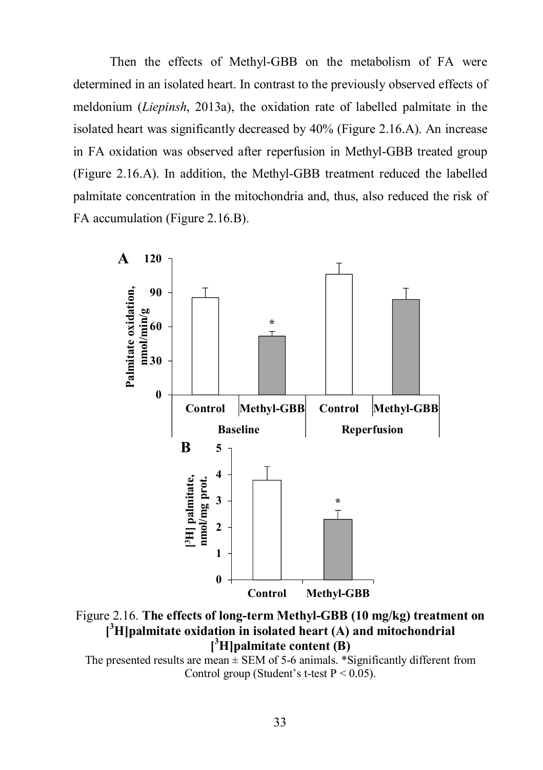Then the effects of Methyl-GBB on the metabolism of FA were determined in an isolated heart. In contrast to the previously observed effects of meldonium (*Liepinsh*, 2013a), the oxidation rate of labelled palmitate in the isolated heart was significantly decreased by 40% (Figure 2.16.A). An increase in FA oxidation was observed after reperfusion in Methyl-GBB treated group (Figure 2.16.A). In addition, the Methyl-GBB treatment reduced the labelled palmitate concentration in the mitochondria and, thus, also reduced the risk of FA accumulation (Figure 2.16.B).



Figure 2.16. **The effects of long-term Methyl-GBB (10 mg/kg) treatment on [ <sup>3</sup>H]palmitate oxidation in isolated heart (A) and mitochondrial [ <sup>3</sup>H]palmitate content (B)**

The presented results are mean  $\pm$  SEM of 5-6 animals. \*Significantly different from Control group (Student's t-test  $P < 0.05$ ).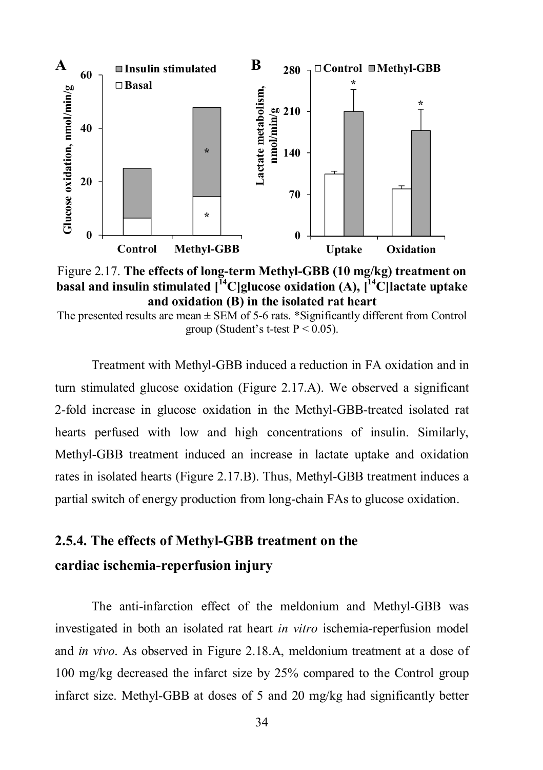

Figure 2.17. **The effects of long-term Methyl-GBB (10 mg/kg) treatment on basal and insulin stimulated [<sup>14</sup>C]glucose oxidation (A), [ <sup>14</sup>C]lactate uptake and oxidation (B) in the isolated rat heart**

The presented results are mean  $\pm$  SEM of 5-6 rats. \*Significantly different from Control group (Student's t-test  $P < 0.05$ ).

Treatment with Methyl-GBB induced a reduction in FA oxidation and in turn stimulated glucose oxidation (Figure 2.17.A). We observed a significant 2-fold increase in glucose oxidation in the Methyl-GBB-treated isolated rat hearts perfused with low and high concentrations of insulin. Similarly, Methyl-GBB treatment induced an increase in lactate uptake and oxidation rates in isolated hearts (Figure 2.17.B). Thus, Methyl-GBB treatment induces a partial switch of energy production from long-chain FAs to glucose oxidation.

# **2.5.4. The effects of Methyl-GBB treatment on the cardiac ischemia-reperfusion injury**

The anti-infarction effect of the meldonium and Methyl-GBB was investigated in both an isolated rat heart *in vitro* ischemia-reperfusion model and *in vivo*. As observed in Figure 2.18.A, meldonium treatment at a dose of 100 mg/kg decreased the infarct size by 25% compared to the Control group infarct size. Methyl-GBB at doses of 5 and 20 mg/kg had significantly better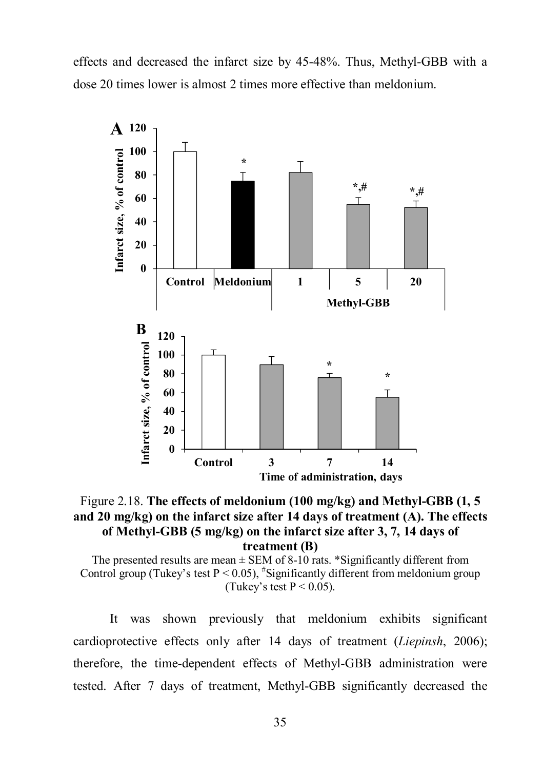effects and decreased the infarct size by 45-48%. Thus, Methyl-GBB with a dose 20 times lower is almost 2 times more effective than meldonium.



Figure 2.18. **The effects of meldonium (100 mg/kg) and Methyl-GBB (1, 5 and 20 mg/kg) on the infarct size after 14 days of treatment (A). The effects of Methyl-GBB (5 mg/kg) on the infarct size after 3, 7, 14 days of treatment (B)**

The presented results are mean  $\pm$  SEM of 8-10 rats. \*Significantly different from Control group (Tukey's test  $P < 0.05$ ),  $*$ Significantly different from meldonium group (Tukey's test  $P < 0.05$ ).

It was shown previously that meldonium exhibits significant cardioprotective effects only after 14 days of treatment (*Liepinsh*, 2006); therefore, the time-dependent effects of Methyl-GBB administration were tested. After 7 days of treatment, Methyl-GBB significantly decreased the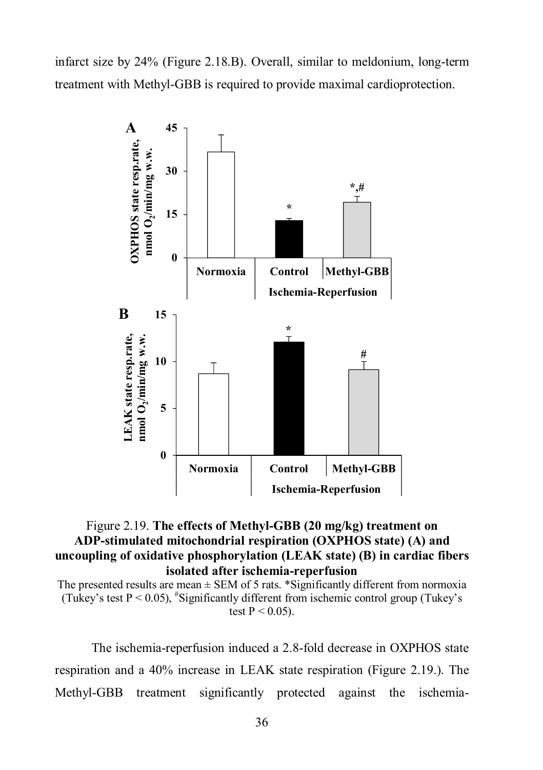infarct size by 24% (Figure 2.18.B). Overall, similar to meldonium, long-term treatment with Methyl-GBB is required to provide maximal cardioprotection.



#### Figure 2.19. **The effects of Methyl-GBB (20 mg/kg) treatment on ADP-stimulated mitochondrial respiration (OXPHOS state) (A) and uncoupling of oxidative phosphorylation (LEAK state) (B) in cardiac fibers isolated after ischemia-reperfusion**

The presented results are mean  $\pm$  SEM of 5 rats. \*Significantly different from normoxia (Tukey's test  $P < 0.05$ ), "Significantly different from ischemic control group (Tukey's test  $P < 0.05$ ).

The ischemia-reperfusion induced a 2.8-fold decrease in OXPHOS state respiration and a 40% increase in LEAK state respiration (Figure 2.19.). The Methyl-GBB treatment significantly protected against the ischemia-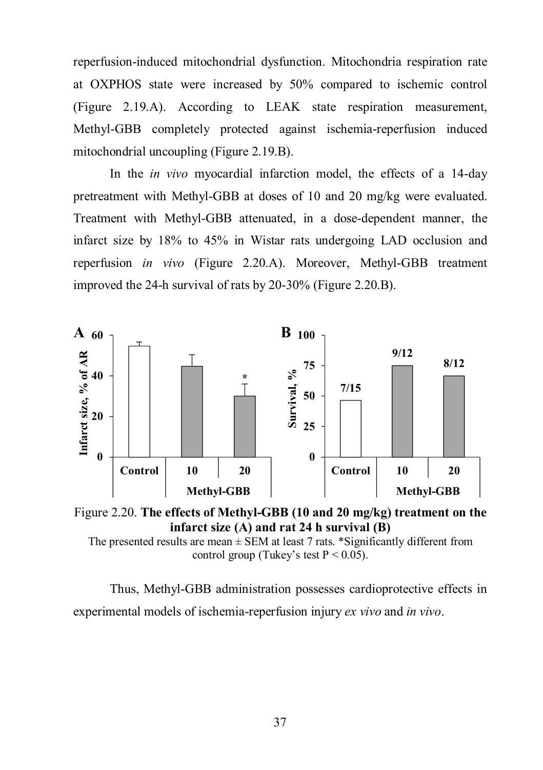reperfusion-induced mitochondrial dysfunction. Mitochondria respiration rate at OXPHOS state were increased by 50% compared to ischemic control (Figure 2.19.A). According to LEAK state respiration measurement, Methyl-GBB completely protected against ischemia-reperfusion induced mitochondrial uncoupling (Figure 2.19.B).

In the *in vivo* myocardial infarction model, the effects of a 14-day pretreatment with Methyl-GBB at doses of 10 and 20 mg/kg were evaluated. Treatment with Methyl-GBB attenuated, in a dose-dependent manner, the infarct size by 18% to 45% in Wistar rats undergoing LAD occlusion and reperfusion *in vivo* (Figure 2.20.A). Moreover, Methyl-GBB treatment improved the 24-h survival of rats by 20-30% (Figure 2.20.B).





The presented results are mean  $\pm$  SEM at least 7 rats. \*Significantly different from control group (Tukey's test  $P < 0.05$ ).

Thus, Methyl-GBB administration possesses cardioprotective effects in experimental models of ischemia-reperfusion injury *ex vivo* and *in vivo*.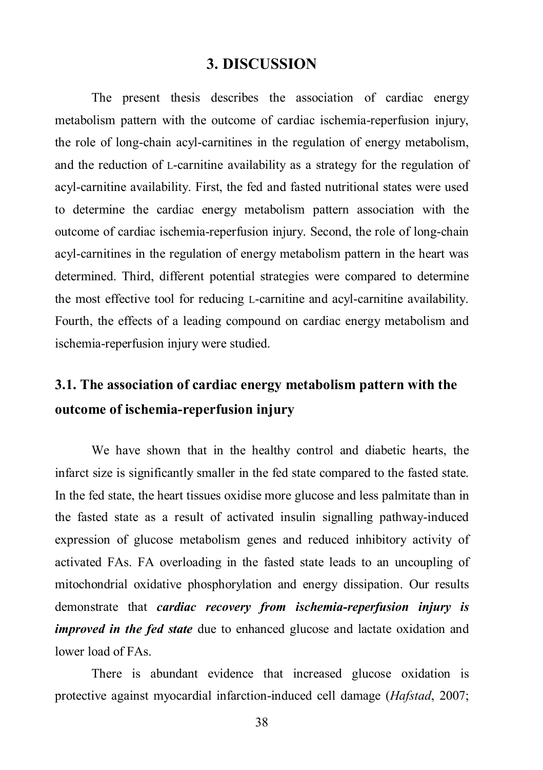#### **3. DISCUSSION**

The present thesis describes the association of cardiac energy metabolism pattern with the outcome of cardiac ischemia-reperfusion injury, the role of long-chain acyl-carnitines in the regulation of energy metabolism, and the reduction of L-carnitine availability as a strategy for the regulation of acyl-carnitine availability. First, the fed and fasted nutritional states were used to determine the cardiac energy metabolism pattern association with the outcome of cardiac ischemia-reperfusion injury. Second, the role of long-chain acyl-carnitines in the regulation of energy metabolism pattern in the heart was determined. Third, different potential strategies were compared to determine the most effective tool for reducing L-carnitine and acyl-carnitine availability. Fourth, the effects of a leading compound on cardiac energy metabolism and ischemia-reperfusion injury were studied.

### **3.1. The association of cardiac energy metabolism pattern with the outcome of ischemia-reperfusion injury**

We have shown that in the healthy control and diabetic hearts, the infarct size is significantly smaller in the fed state compared to the fasted state. In the fed state, the heart tissues oxidise more glucose and less palmitate than in the fasted state as a result of activated insulin signalling pathway-induced expression of glucose metabolism genes and reduced inhibitory activity of activated FAs. FA overloading in the fasted state leads to an uncoupling of mitochondrial oxidative phosphorylation and energy dissipation. Our results demonstrate that *cardiac recovery from ischemia-reperfusion injury is improved in the fed state* due to enhanced glucose and lactate oxidation and lower load of FAs.

There is abundant evidence that increased glucose oxidation is protective against myocardial infarction-induced cell damage (*Hafstad*, 2007;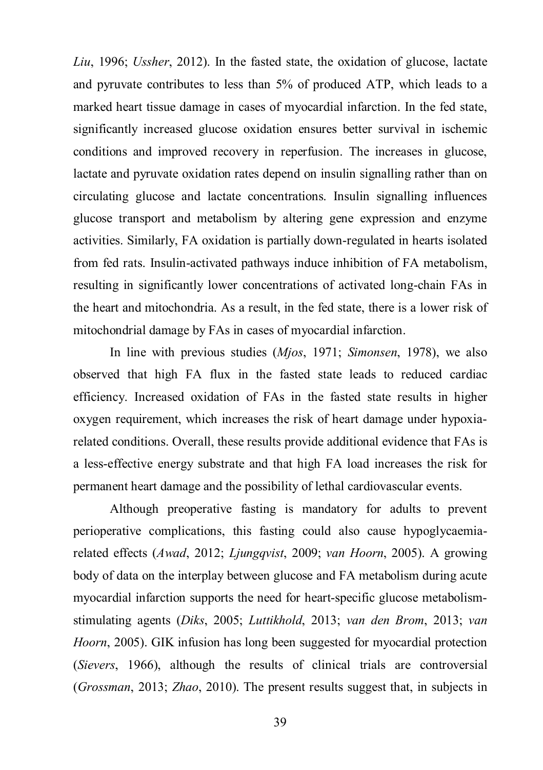*Liu*, 1996; *Ussher*, 2012). In the fasted state, the oxidation of glucose, lactate and pyruvate contributes to less than 5% of produced ATP, which leads to a marked heart tissue damage in cases of myocardial infarction. In the fed state, significantly increased glucose oxidation ensures better survival in ischemic conditions and improved recovery in reperfusion. The increases in glucose, lactate and pyruvate oxidation rates depend on insulin signalling rather than on circulating glucose and lactate concentrations. Insulin signalling influences glucose transport and metabolism by altering gene expression and enzyme activities. Similarly, FA oxidation is partially down-regulated in hearts isolated from fed rats. Insulin-activated pathways induce inhibition of FA metabolism, resulting in significantly lower concentrations of activated long-chain FAs in the heart and mitochondria. As a result, in the fed state, there is a lower risk of mitochondrial damage by FAs in cases of myocardial infarction.

In line with previous studies (*Mjos*, 1971; *Simonsen*, 1978), we also observed that high FA flux in the fasted state leads to reduced cardiac efficiency. Increased oxidation of FAs in the fasted state results in higher oxygen requirement, which increases the risk of heart damage under hypoxiarelated conditions. Overall, these results provide additional evidence that FAs is a less-effective energy substrate and that high FA load increases the risk for permanent heart damage and the possibility of lethal cardiovascular events.

Although preoperative fasting is mandatory for adults to prevent perioperative complications, this fasting could also cause hypoglycaemiarelated effects (*Awad*, 2012; *Ljungqvist*, 2009; *van Hoorn*, 2005). A growing body of data on the interplay between glucose and FA metabolism during acute myocardial infarction supports the need for heart-specific glucose metabolismstimulating agents (*Diks*, 2005; *Luttikhold*, 2013; *van den Brom*, 2013; *van Hoorn*, 2005). GIK infusion has long been suggested for myocardial protection (*Sievers*, 1966), although the results of clinical trials are controversial (*Grossman*, 2013; *Zhao*, 2010). The present results suggest that, in subjects in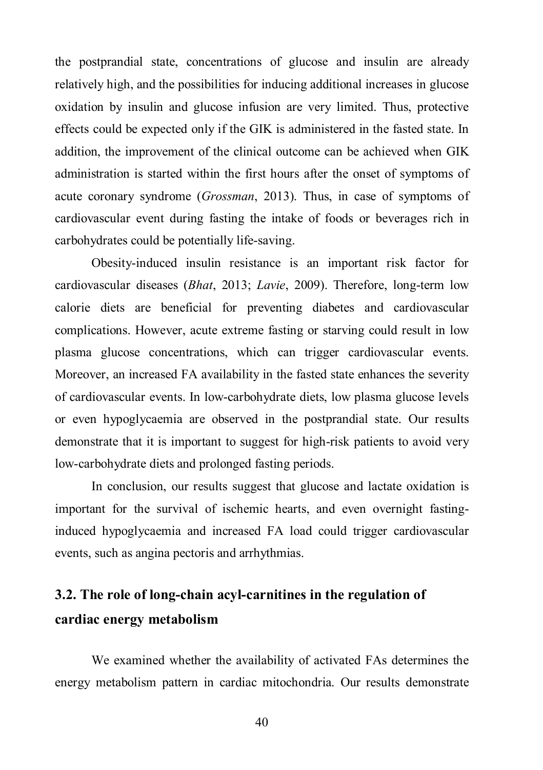the postprandial state, concentrations of glucose and insulin are already relatively high, and the possibilities for inducing additional increases in glucose oxidation by insulin and glucose infusion are very limited. Thus, protective effects could be expected only if the GIK is administered in the fasted state. In addition, the improvement of the clinical outcome can be achieved when GIK administration is started within the first hours after the onset of symptoms of acute coronary syndrome (*Grossman*, 2013). Thus, in case of symptoms of cardiovascular event during fasting the intake of foods or beverages rich in carbohydrates could be potentially life-saving.

Obesity-induced insulin resistance is an important risk factor for cardiovascular diseases (*Bhat*, 2013; *Lavie*, 2009). Therefore, long-term low calorie diets are beneficial for preventing diabetes and cardiovascular complications. However, acute extreme fasting or starving could result in low plasma glucose concentrations, which can trigger cardiovascular events. Moreover, an increased FA availability in the fasted state enhances the severity of cardiovascular events. In low-carbohydrate diets, low plasma glucose levels or even hypoglycaemia are observed in the postprandial state. Our results demonstrate that it is important to suggest for high-risk patients to avoid very low-carbohydrate diets and prolonged fasting periods.

In conclusion, our results suggest that glucose and lactate oxidation is important for the survival of ischemic hearts, and even overnight fastinginduced hypoglycaemia and increased FA load could trigger cardiovascular events, such as angina pectoris and arrhythmias.

### **3.2. The role of long-chain acyl-carnitines in the regulation of cardiac energy metabolism**

We examined whether the availability of activated FAs determines the energy metabolism pattern in cardiac mitochondria. Our results demonstrate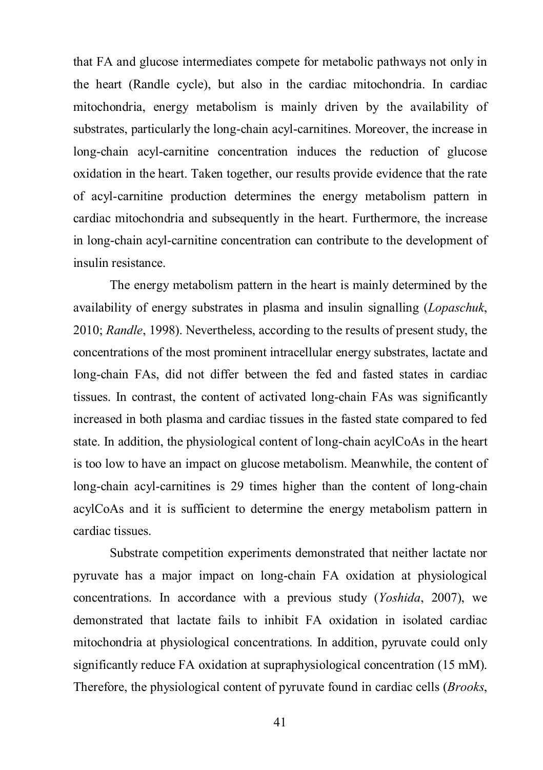that FA and glucose intermediates compete for metabolic pathways not only in the heart (Randle cycle), but also in the cardiac mitochondria. In cardiac mitochondria, energy metabolism is mainly driven by the availability of substrates, particularly the long-chain acyl-carnitines. Moreover, the increase in long-chain acyl-carnitine concentration induces the reduction of glucose oxidation in the heart. Taken together, our results provide evidence that the rate of acyl-carnitine production determines the energy metabolism pattern in cardiac mitochondria and subsequently in the heart. Furthermore, the increase in long-chain acyl-carnitine concentration can contribute to the development of insulin resistance.

The energy metabolism pattern in the heart is mainly determined by the availability of energy substrates in plasma and insulin signalling (*Lopaschuk*, 2010; *Randle*, 1998). Nevertheless, according to the results of present study, the concentrations of the most prominent intracellular energy substrates, lactate and long-chain FAs, did not differ between the fed and fasted states in cardiac tissues. In contrast, the content of activated long-chain FAs was significantly increased in both plasma and cardiac tissues in the fasted state compared to fed state. In addition, the physiological content of long-chain acylCoAs in the heart is too low to have an impact on glucose metabolism. Meanwhile, the content of long-chain acyl-carnitines is 29 times higher than the content of long-chain acylCoAs and it is sufficient to determine the energy metabolism pattern in cardiac tissues.

Substrate competition experiments demonstrated that neither lactate nor pyruvate has a major impact on long-chain FA oxidation at physiological concentrations. In accordance with a previous study (*Yoshida*, 2007), we demonstrated that lactate fails to inhibit FA oxidation in isolated cardiac mitochondria at physiological concentrations. In addition, pyruvate could only significantly reduce FA oxidation at supraphysiological concentration (15 mM). Therefore, the physiological content of pyruvate found in cardiac cells (*Brooks*,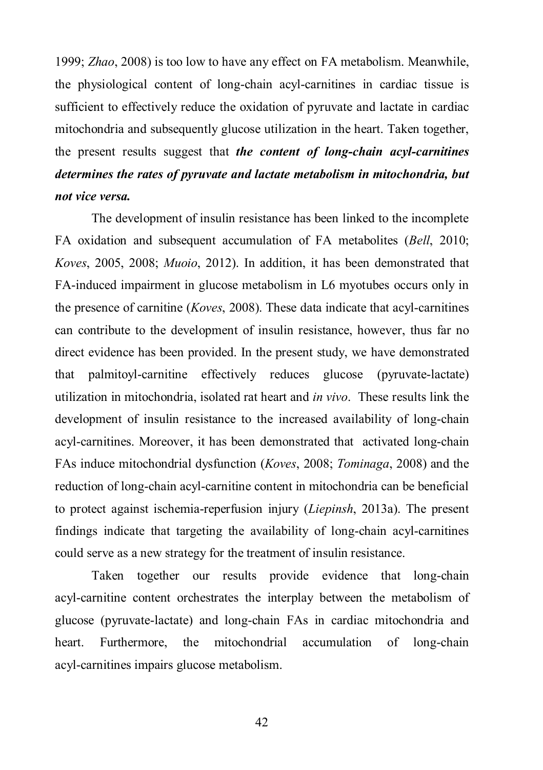1999; *Zhao*, 2008) is too low to have any effect on FA metabolism. Meanwhile, the physiological content of long-chain acyl-carnitines in cardiac tissue is sufficient to effectively reduce the oxidation of pyruvate and lactate in cardiac mitochondria and subsequently glucose utilization in the heart. Taken together, the present results suggest that *the content of long-chain acyl-carnitines determines the rates of pyruvate and lactate metabolism in mitochondria, but not vice versa.* 

The development of insulin resistance has been linked to the incomplete FA oxidation and subsequent accumulation of FA metabolites (*Bell*, 2010; *Koves*, 2005, 2008; *Muoio*, 2012). In addition, it has been demonstrated that FA-induced impairment in glucose metabolism in L6 myotubes occurs only in the presence of carnitine (*Koves*, 2008). These data indicate that acyl-carnitines can contribute to the development of insulin resistance, however, thus far no direct evidence has been provided. In the present study, we have demonstrated that palmitoyl-carnitine effectively reduces glucose (pyruvate-lactate) utilization in mitochondria, isolated rat heart and *in vivo*. These results link the development of insulin resistance to the increased availability of long-chain acyl-carnitines. Moreover, it has been demonstrated that activated long-chain FAs induce mitochondrial dysfunction (*Koves*, 2008; *Tominaga*, 2008) and the reduction of long-chain acyl-carnitine content in mitochondria can be beneficial to protect against ischemia-reperfusion injury (*Liepinsh*, 2013a). The present findings indicate that targeting the availability of long-chain acyl-carnitines could serve as a new strategy for the treatment of insulin resistance.

Taken together our results provide evidence that long-chain acyl-carnitine content orchestrates the interplay between the metabolism of glucose (pyruvate-lactate) and long-chain FAs in cardiac mitochondria and heart. Furthermore, the mitochondrial accumulation of long-chain acyl-carnitines impairs glucose metabolism.

42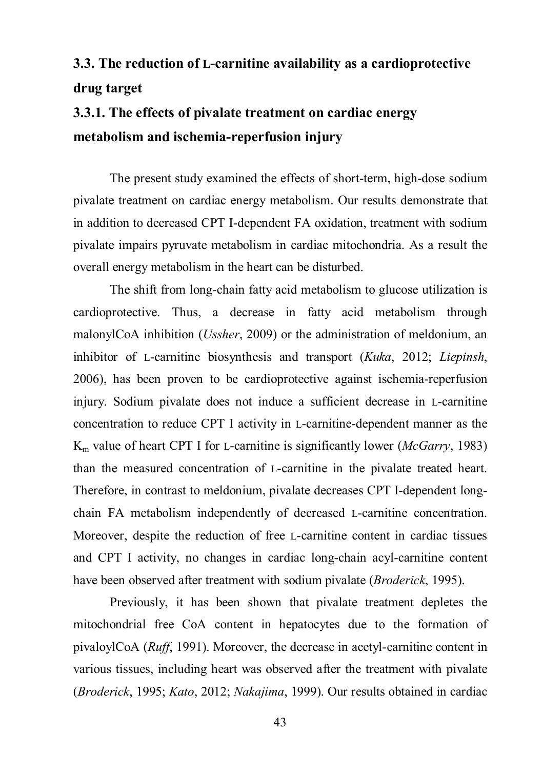# **3.3. The reduction of L-carnitine availability as a cardioprotective drug target**

# **3.3.1. The effects of pivalate treatment on cardiac energy metabolism and ischemia-reperfusion injury**

The present study examined the effects of short-term, high-dose sodium pivalate treatment on cardiac energy metabolism. Our results demonstrate that in addition to decreased CPT I-dependent FA oxidation, treatment with sodium pivalate impairs pyruvate metabolism in cardiac mitochondria. As a result the overall energy metabolism in the heart can be disturbed.

The shift from long-chain fatty acid metabolism to glucose utilization is cardioprotective. Thus, a decrease in fatty acid metabolism through malonylCoA inhibition (*Ussher*, 2009) or the administration of meldonium, an inhibitor of L-carnitine biosynthesis and transport (*Kuka*, 2012; *Liepinsh*, 2006), has been proven to be cardioprotective against ischemia-reperfusion injury. Sodium pivalate does not induce a sufficient decrease in L-carnitine concentration to reduce CPT I activity in L-carnitine-dependent manner as the K<sup>m</sup> value of heart CPT I for L-carnitine is significantly lower (*McGarry*, 1983) than the measured concentration of L-carnitine in the pivalate treated heart. Therefore, in contrast to meldonium, pivalate decreases CPT I-dependent longchain FA metabolism independently of decreased L-carnitine concentration. Moreover, despite the reduction of free L-carnitine content in cardiac tissues and CPT I activity, no changes in cardiac long-chain acyl-carnitine content have been observed after treatment with sodium pivalate (*Broderick*, 1995).

Previously, it has been shown that pivalate treatment depletes the mitochondrial free CoA content in hepatocytes due to the formation of pivaloylCoA (*Ruff*, 1991). Moreover, the decrease in acetyl-carnitine content in various tissues, including heart was observed after the treatment with pivalate (*Broderick*, 1995; *Kato*, 2012; *Nakajima*, 1999). Our results obtained in cardiac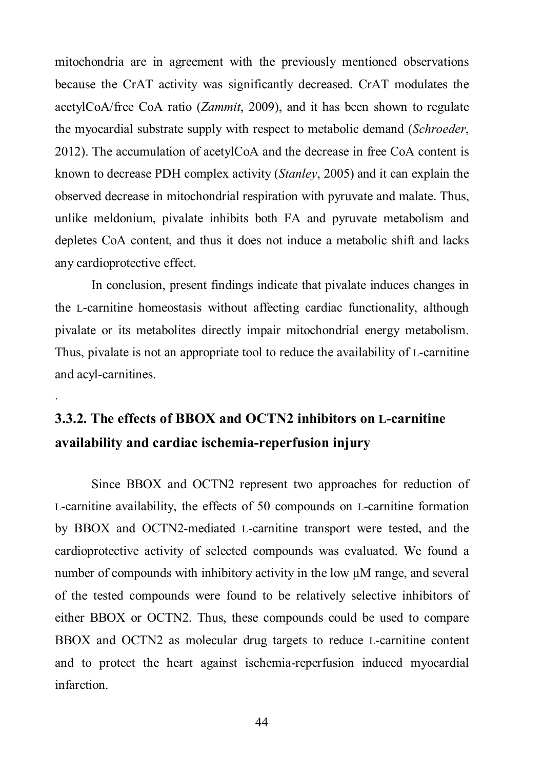mitochondria are in agreement with the previously mentioned observations because the CrAT activity was significantly decreased. CrAT modulates the acetylCoA/free CoA ratio (*Zammit*, 2009), and it has been shown to regulate the myocardial substrate supply with respect to metabolic demand (*Schroeder*, 2012). The accumulation of acetylCoA and the decrease in free CoA content is known to decrease PDH complex activity (*Stanley*, 2005) and it can explain the observed decrease in mitochondrial respiration with pyruvate and malate. Thus, unlike meldonium, pivalate inhibits both FA and pyruvate metabolism and depletes CoA content, and thus it does not induce a metabolic shift and lacks any cardioprotective effect.

In conclusion, present findings indicate that pivalate induces changes in the L-carnitine homeostasis without affecting cardiac functionality, although pivalate or its metabolites directly impair mitochondrial energy metabolism. Thus, pivalate is not an appropriate tool to reduce the availability of L-carnitine and acyl-carnitines.

## **3.3.2. The effects of BBOX and OCTN2 inhibitors on L-carnitine availability and cardiac ischemia-reperfusion injury**

.

Since BBOX and OCTN2 represent two approaches for reduction of L-carnitine availability, the effects of 50 compounds on L-carnitine formation by BBOX and OCTN2-mediated L-carnitine transport were tested, and the cardioprotective activity of selected compounds was evaluated. We found a number of compounds with inhibitory activity in the low µM range, and several of the tested compounds were found to be relatively selective inhibitors of either BBOX or OCTN2. Thus, these compounds could be used to compare BBOX and OCTN2 as molecular drug targets to reduce L-carnitine content and to protect the heart against ischemia-reperfusion induced myocardial infarction.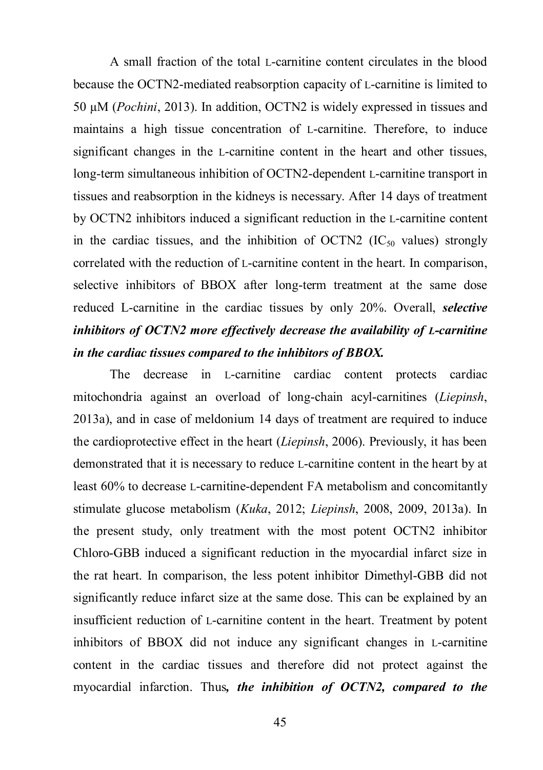A small fraction of the total L-carnitine content circulates in the blood because the OCTN2-mediated reabsorption capacity of L-carnitine is limited to 50 µM (*Pochini*, 2013). In addition, OCTN2 is widely expressed in tissues and maintains a high tissue concentration of L-carnitine. Therefore, to induce significant changes in the L-carnitine content in the heart and other tissues, long-term simultaneous inhibition of OCTN2-dependent L-carnitine transport in tissues and reabsorption in the kidneys is necessary. After 14 days of treatment by OCTN2 inhibitors induced a significant reduction in the L-carnitine content in the cardiac tissues, and the inhibition of OCTN2  $(IC_{50}$  values) strongly correlated with the reduction of L-carnitine content in the heart. In comparison, selective inhibitors of BBOX after long-term treatment at the same dose reduced L-carnitine in the cardiac tissues by only 20%. Overall, *selective inhibitors of OCTN2 more effectively decrease the availability of L-carnitine in the cardiac tissues compared to the inhibitors of BBOX.*

The decrease in L-carnitine cardiac content protects cardiac mitochondria against an overload of long-chain acyl-carnitines (*Liepinsh*, 2013a), and in case of meldonium 14 days of treatment are required to induce the cardioprotective effect in the heart (*Liepinsh*, 2006). Previously, it has been demonstrated that it is necessary to reduce L-carnitine content in the heart by at least 60% to decrease L-carnitine-dependent FA metabolism and concomitantly stimulate glucose metabolism (*Kuka*, 2012; *Liepinsh*, 2008, 2009, 2013a). In the present study, only treatment with the most potent OCTN2 inhibitor Chloro-GBB induced a significant reduction in the myocardial infarct size in the rat heart. In comparison, the less potent inhibitor Dimethyl-GBB did not significantly reduce infarct size at the same dose. This can be explained by an insufficient reduction of L-carnitine content in the heart. Treatment by potent inhibitors of BBOX did not induce any significant changes in L-carnitine content in the cardiac tissues and therefore did not protect against the myocardial infarction. Thus*, the inhibition of OCTN2, compared to the*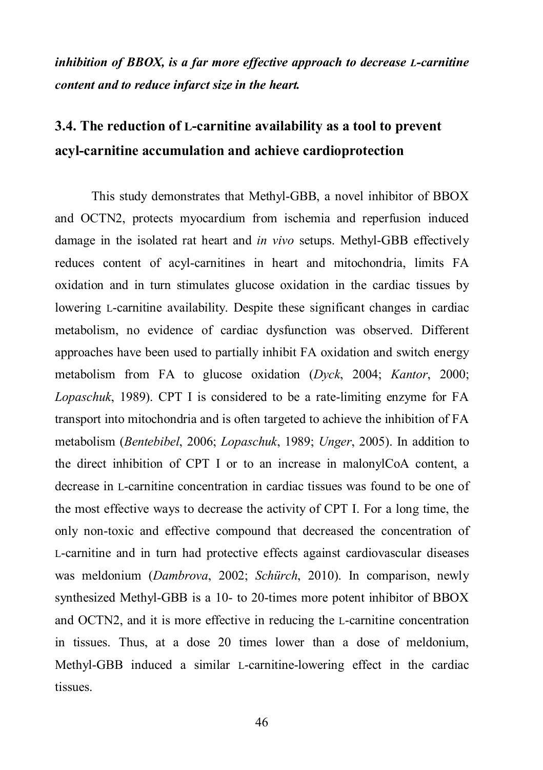### *inhibition of BBOX, is a far more effective approach to decrease L-carnitine content and to reduce infarct size in the heart.*

### **3.4. The reduction of L-carnitine availability as a tool to prevent acyl-carnitine accumulation and achieve cardioprotection**

This study demonstrates that Methyl-GBB, a novel inhibitor of BBOX and OCTN2, protects myocardium from ischemia and reperfusion induced damage in the isolated rat heart and *in vivo* setups. Methyl-GBB effectively reduces content of acyl-carnitines in heart and mitochondria, limits FA oxidation and in turn stimulates glucose oxidation in the cardiac tissues by lowering L-carnitine availability. Despite these significant changes in cardiac metabolism, no evidence of cardiac dysfunction was observed. Different approaches have been used to partially inhibit FA oxidation and switch energy metabolism from FA to glucose oxidation (*Dyck*, 2004; *Kantor*, 2000; *Lopaschuk*, 1989). CPT I is considered to be a rate-limiting enzyme for FA transport into mitochondria and is often targeted to achieve the inhibition of FA metabolism (*Bentebibel*, 2006; *Lopaschuk*, 1989; *Unger*, 2005). In addition to the direct inhibition of CPT I or to an increase in malonylCoA content, a decrease in L-carnitine concentration in cardiac tissues was found to be one of the most effective ways to decrease the activity of CPT I. For a long time, the only non-toxic and effective compound that decreased the concentration of L-carnitine and in turn had protective effects against cardiovascular diseases was meldonium (*Dambrova*, 2002; *Schürch*, 2010). In comparison, newly synthesized Methyl-GBB is a 10- to 20-times more potent inhibitor of BBOX and OCTN2, and it is more effective in reducing the L-carnitine concentration in tissues. Thus, at a dose 20 times lower than a dose of meldonium, Methyl-GBB induced a similar L-carnitine-lowering effect in the cardiac tissues.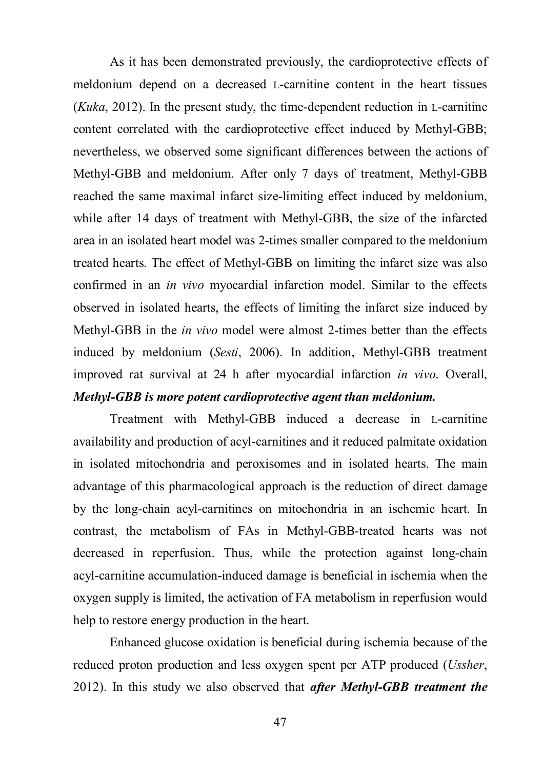As it has been demonstrated previously, the cardioprotective effects of meldonium depend on a decreased L-carnitine content in the heart tissues (*Kuka*, 2012). In the present study, the time-dependent reduction in L-carnitine content correlated with the cardioprotective effect induced by Methyl-GBB; nevertheless, we observed some significant differences between the actions of Methyl-GBB and meldonium. After only 7 days of treatment, Methyl-GBB reached the same maximal infarct size-limiting effect induced by meldonium, while after 14 days of treatment with Methyl-GBB, the size of the infarcted area in an isolated heart model was 2-times smaller compared to the meldonium treated hearts. The effect of Methyl-GBB on limiting the infarct size was also confirmed in an *in vivo* myocardial infarction model. Similar to the effects observed in isolated hearts, the effects of limiting the infarct size induced by Methyl-GBB in the *in vivo* model were almost 2-times better than the effects induced by meldonium (*Sesti*, 2006). In addition, Methyl-GBB treatment improved rat survival at 24 h after myocardial infarction *in vivo*. Overall, *Methyl-GBB is more potent cardioprotective agent than meldonium.*

Treatment with Methyl-GBB induced a decrease in L-carnitine availability and production of acyl-carnitines and it reduced palmitate oxidation in isolated mitochondria and peroxisomes and in isolated hearts. The main advantage of this pharmacological approach is the reduction of direct damage by the long-chain acyl-carnitines on mitochondria in an ischemic heart. In contrast, the metabolism of FAs in Methyl-GBB-treated hearts was not decreased in reperfusion. Thus, while the protection against long-chain acyl-carnitine accumulation-induced damage is beneficial in ischemia when the oxygen supply is limited, the activation of FA metabolism in reperfusion would help to restore energy production in the heart.

Enhanced glucose oxidation is beneficial during ischemia because of the reduced proton production and less oxygen spent per ATP produced (*Ussher*, 2012). In this study we also observed that *after Methyl-GBB treatment the*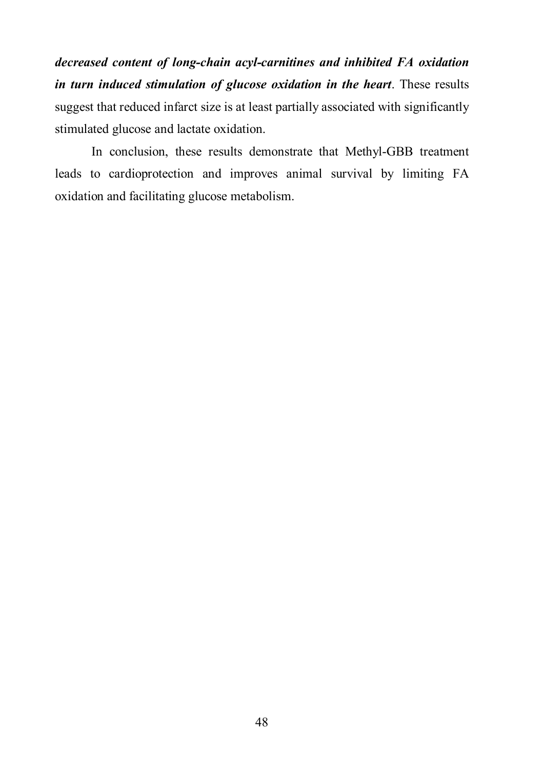*decreased content of long-chain acyl-carnitines and inhibited FA oxidation in turn induced stimulation of glucose oxidation in the heart*. These results suggest that reduced infarct size is at least partially associated with significantly stimulated glucose and lactate oxidation.

In conclusion, these results demonstrate that Methyl-GBB treatment leads to cardioprotection and improves animal survival by limiting FA oxidation and facilitating glucose metabolism.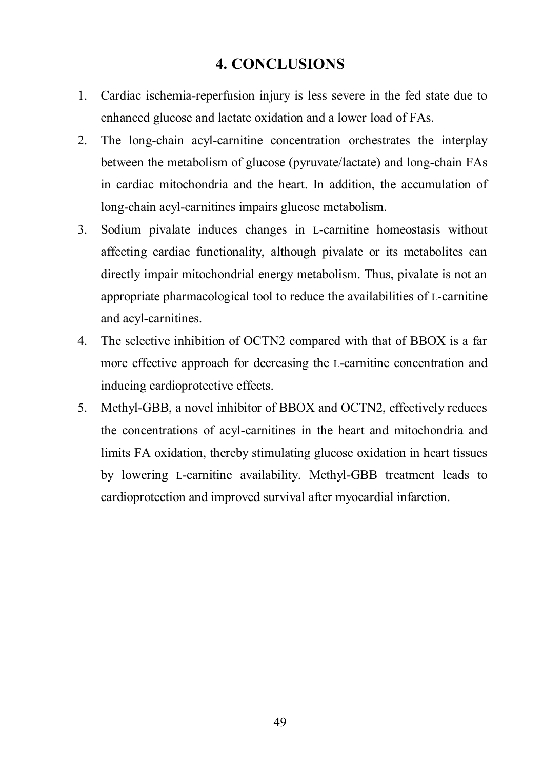### **4. CONCLUSIONS**

- 1. Cardiac ischemia-reperfusion injury is less severe in the fed state due to enhanced glucose and lactate oxidation and a lower load of FAs.
- 2. The long-chain acyl-carnitine concentration orchestrates the interplay between the metabolism of glucose (pyruvate/lactate) and long-chain FAs in cardiac mitochondria and the heart. In addition, the accumulation of long-chain acyl-carnitines impairs glucose metabolism.
- 3. Sodium pivalate induces changes in L-carnitine homeostasis without affecting cardiac functionality, although pivalate or its metabolites can directly impair mitochondrial energy metabolism. Thus, pivalate is not an appropriate pharmacological tool to reduce the availabilities of L-carnitine and acyl-carnitines.
- 4. The selective inhibition of OCTN2 compared with that of BBOX is a far more effective approach for decreasing the L-carnitine concentration and inducing cardioprotective effects.
- 5. Methyl-GBB, a novel inhibitor of BBOX and OCTN2, effectively reduces the concentrations of acyl-carnitines in the heart and mitochondria and limits FA oxidation, thereby stimulating glucose oxidation in heart tissues by lowering L-carnitine availability. Methyl-GBB treatment leads to cardioprotection and improved survival after myocardial infarction.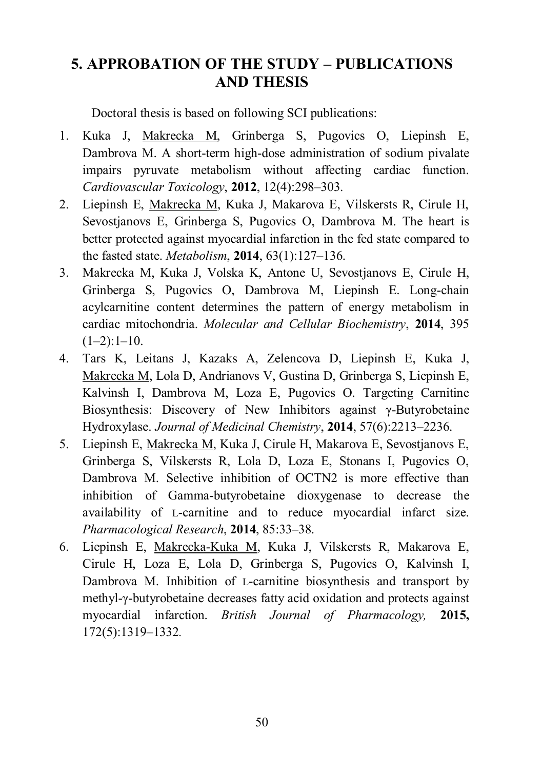### **5. APPROBATION OF THE STUDY – PUBLICATIONS AND THESIS**

Doctoral thesis is based on following SCI publications:

- 1. Kuka J, Makrecka M, Grinberga S, Pugovics O, Liepinsh E, Dambrova M. A short-term high-dose administration of sodium pivalate impairs pyruvate metabolism without affecting cardiac function. *Cardiovascular Toxicology*, **2012**, 12(4):298–303.
- 2. Liepinsh E, Makrecka M, Kuka J, Makarova E, Vilskersts R, Cirule H, Sevostjanovs E, Grinberga S, Pugovics O, Dambrova M. The heart is better protected against myocardial infarction in the fed state compared to the fasted state. *Metabolism*, **2014**, 63(1):127–136.
- 3. Makrecka M, Kuka J, Volska K, Antone U, Sevostjanovs E, Cirule H, Grinberga S, Pugovics O, Dambrova M, Liepinsh E. Long-chain acylcarnitine content determines the pattern of energy metabolism in cardiac mitochondria. *Molecular and Cellular Biochemistry*, **2014**, 395  $(1-2):1-10.$
- 4. Tars K, Leitans J, Kazaks A, Zelencova D, Liepinsh E, Kuka J, Makrecka M, Lola D, Andrianovs V, Gustina D, Grinberga S, Liepinsh E, Kalvinsh I, Dambrova M, Loza E, Pugovics O. Targeting Carnitine Biosynthesis: Discovery of New Inhibitors against γ-Butyrobetaine Hydroxylase. *Journal of Medicinal Chemistry*, **2014**, 57(6):2213–2236.
- 5. Liepinsh E, Makrecka M, Kuka J, Cirule H, Makarova E, Sevostjanovs E, Grinberga S, Vilskersts R, Lola D, Loza E, Stonans I, Pugovics O, Dambrova M. Selective inhibition of OCTN2 is more effective than inhibition of Gamma-butyrobetaine dioxygenase to decrease the availability of L-carnitine and to reduce myocardial infarct size. *Pharmacological Research*, **2014**, 85:33–38.
- 6. Liepinsh E, Makrecka-Kuka M, Kuka J, Vilskersts R, Makarova E, Cirule H, Loza E, Lola D, Grinberga S, Pugovics O, Kalvinsh I, Dambrova M. Inhibition of L-carnitine biosynthesis and transport by methyl-γ-butyrobetaine decreases fatty acid oxidation and protects against myocardial infarction. *British Journal of Pharmacology,* **2015,** 172(5):1319–1332*.*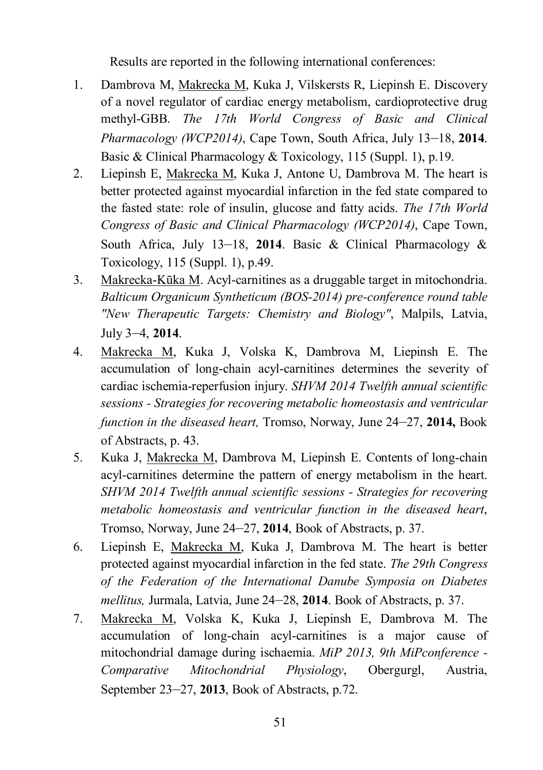Results are reported in the following international conferences:

- 1. Dambrova M, Makrecka M, Kuka J, Vilskersts R, Liepinsh E. Discovery of a novel regulator of cardiac energy metabolism, cardioprotective drug methyl-GBB. *The 17th World Congress of Basic and Clinical Pharmacology (WCP2014)*, Cape Town, South Africa, July 13–18, 2014. Basic & Clinical Pharmacology & Toxicology, 115 (Suppl. 1), p.19.
- 2. Liepinsh E, Makrecka M, Kuka J, Antone U, Dambrova M. The heart is better protected against myocardial infarction in the fed state compared to the fasted state: role of insulin, glucose and fatty acids. *The 17th World Congress of Basic and Clinical Pharmacology (WCP2014)*, Cape Town, South Africa, July 13-18, 2014. Basic & Clinical Pharmacology & Toxicology, 115 (Suppl. 1), p.49.
- 3. Makrecka-Kūka M. Acyl-carnitines as a druggable target in mitochondria. *Balticum Organicum Syntheticum (BOS-2014) pre-conference round table "New Therapeutic Targets: Chemistry and Biology"*, Malpils, Latvia, July 3–4, **2014**.
- 4. Makrecka M, Kuka J, Volska K, Dambrova M, Liepinsh E. The accumulation of long-chain acyl-carnitines determines the severity of cardiac ischemia-reperfusion injury. *SHVM 2014 Twelfth annual scientific sessions - Strategies for recovering metabolic homeostasis and ventricular function in the diseased heart,* Tromso, Norway, June 24–27, **2014,** Book of Abstracts, p. 43.
- 5. Kuka J, Makrecka M, Dambrova M, Liepinsh E. Contents of long-chain acyl-carnitines determine the pattern of energy metabolism in the heart. *SHVM 2014 Twelfth annual scientific sessions - Strategies for recovering metabolic homeostasis and ventricular function in the diseased heart*, Tromso, Norway, June 24‒27, **2014**, Book of Abstracts, p. 37.
- 6. Liepinsh E, Makrecka M, Kuka J, Dambrova M. The heart is better protected against myocardial infarction in the fed state. *The 29th Congress of the Federation of the International Danube Symposia on Diabetes mellitus,* Jurmala, Latvia, June 24–28, **2014**. Book of Abstracts, p. 37.
- 7. Makrecka M, Volska K, Kuka J, Liepinsh E, Dambrova M. The accumulation of long-chain acyl-carnitines is a major cause of mitochondrial damage during ischaemia. *MiP 2013, 9th MiPconference - Comparative Mitochondrial Physiology*, Obergurgl, Austria, September 23–27, **2013**, Book of Abstracts, p.72.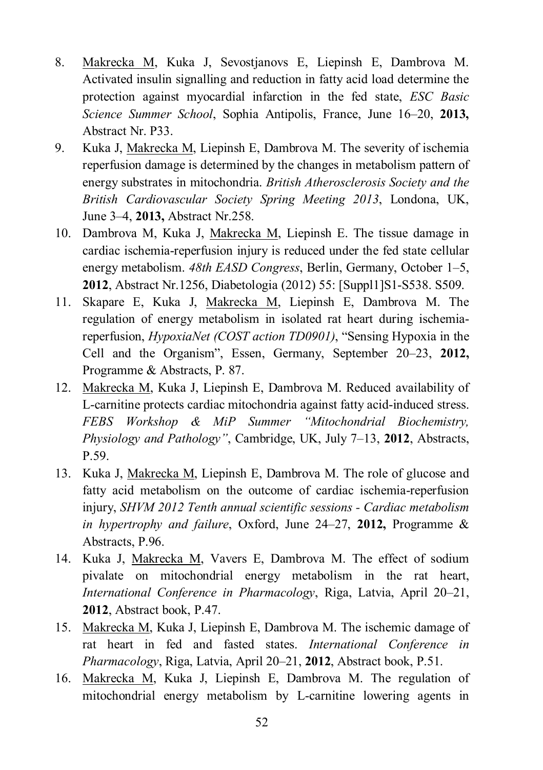- 8. Makrecka M, Kuka J, Sevostjanovs E, Liepinsh E, Dambrova M. Activated insulin signalling and reduction in fatty acid load determine the protection against myocardial infarction in the fed state, *ESC Basic Science Summer School, Sophia Antipolis, France, June 16–20, 2013,* Abstract Nr. P33.
- 9. Kuka J, Makrecka M, Liepinsh E, Dambrova M. The severity of ischemia reperfusion damage is determined by the changes in metabolism pattern of energy substrates in mitochondria. *British Atherosclerosis Society and the British Cardiovascular Society Spring Meeting 2013*, Londona, UK, June 3‒4, **2013,** Abstract Nr.258.
- 10. Dambrova M, Kuka J, Makrecka M, Liepinsh E. The tissue damage in cardiac ischemia-reperfusion injury is reduced under the fed state cellular energy metabolism. *48th EASD Congress*, Berlin, Germany, October 1–5, **2012**, Abstract Nr.1256, Diabetologia (2012) 55: [Suppl1]S1-S538. S509.
- 11. Skapare E, Kuka J, Makrecka M, Liepinsh E, Dambrova M. The regulation of energy metabolism in isolated rat heart during ischemiareperfusion, *HypoxiaNet (COST action TD0901)*, "Sensing Hypoxia in the Cell and the Organism", Essen, Germany, September 20–23, 2012, Programme & Abstracts, P. 87.
- 12. Makrecka M, Kuka J, Liepinsh E, Dambrova M. Reduced availability of L-carnitine protects cardiac mitochondria against fatty acid-induced stress. *FEBS Workshop & MiP Summer "Mitochondrial Biochemistry, Physiology and Pathology"*, Cambridge, UK, July 7–13, 2012, Abstracts, P.59.
- 13. Kuka J, Makrecka M, Liepinsh E, Dambrova M. The role of glucose and fatty acid metabolism on the outcome of cardiac ischemia-reperfusion injury, *SHVM 2012 Tenth annual scientific sessions - Cardiac metabolism in hypertrophy and failure*, Oxford, June 24–27, 2012, Programme & Abstracts, P.96.
- 14. Kuka J, Makrecka M, Vavers E, Dambrova M. The effect of sodium pivalate on mitochondrial energy metabolism in the rat heart, *International Conference in Pharmacology*, Riga, Latvia, April 20–21, **2012**, Abstract book, P.47.
- 15. Makrecka M, Kuka J, Liepinsh E, Dambrova M. The ischemic damage of rat heart in fed and fasted states. *International Conference in Pharmacology*, Riga, Latvia, April 20‒21, **2012**, Abstract book, P.51.
- 16. Makrecka M, Kuka J, Liepinsh E, Dambrova M. The regulation of mitochondrial energy metabolism by L-carnitine lowering agents in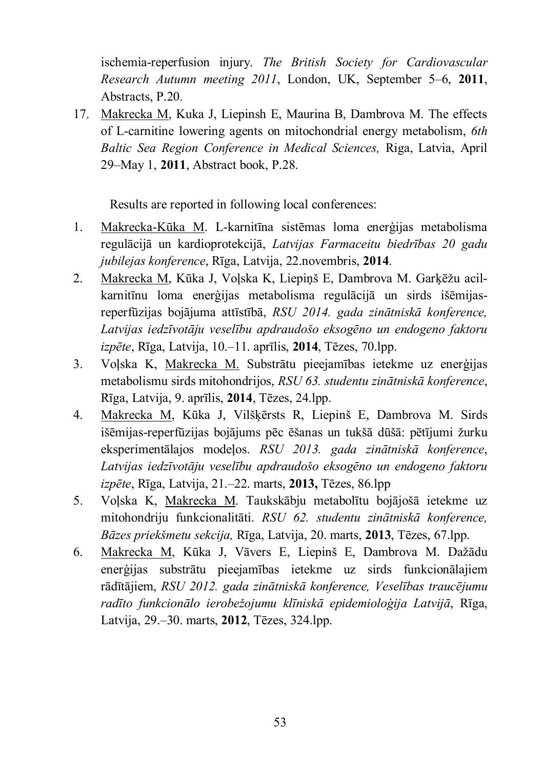ischemia-reperfusion injury. *The British Society for Cardiovascular Research Autumn meeting 2011*, London, UK, September 5‒6, **2011**, Abstracts, P.20.

17. Makrecka M, Kuka J, Liepinsh E, Maurina B, Dambrova M. The effects of L-carnitine lowering agents on mitochondrial energy metabolism, *6th Baltic Sea Region Conference in Medical Sciences,* Riga, Latvia, April 29‒May 1, **2011**, Abstract book, P.28.

Results are reported in following local conferences:

- 1. Makrecka-Kūka M. L-karnitīna sistēmas loma enerģijas metabolisma regulācijā un kardioprotekcijā, *Latvijas Farmaceitu biedrības 20 gadu jubilejas konference*, Rīga, Latvija, 22.novembris, **2014**.
- 2. Makrecka M, Kūka J, Voļska K, Liepiņš E, Dambrova M. Garķēžu acilkarnitīnu loma enerģijas metabolisma regulācijā un sirds išēmijasreperfūzijas bojājuma attīstībā, *RSU 2014. gada zinātniskā konference, Latvijas iedzīvotāju veselību apdraudošo eksogēno un endogeno faktoru izpēte*, Rīga, Latvija, 10.‒11. aprīlis, **2014**, Tēzes, 70.lpp.
- 3. Voļska K, Makrecka M. Substrātu pieejamības ietekme uz enerģijas metabolismu sirds mitohondrijos, *RSU 63. studentu zinātniskā konference*, Rīga, Latvija, 9. aprīlis, **2014**, Tēzes, 24.lpp.
- 4. Makrecka M, Kūka J, Vilšķērsts R, Liepinš E, Dambrova M. Sirds išēmijas-reperfūzijas bojājums pēc ēšanas un tukšā dūšā: pētījumi žurku eksperimentālajos modeļos. *RSU 2013. gada zinātniskā konference*, *Latvijas iedzīvotāju veselību apdraudošo eksogēno un endogeno faktoru izpēte*, Rīga, Latvija, 21.‒22. marts, **2013,** Tēzes, 86.lpp
- 5. Voļska K, Makrecka M. Taukskābju metabolītu bojājošā ietekme uz mitohondriju funkcionalitāti. *RSU 62. studentu zinātniskā konference, Bāzes priekšmetu sekcija,* Rīga, Latvija, 20. marts, **2013**, Tēzes, 67.lpp.
- 6. Makrecka M, Kūka J, Vāvers E, Liepinš E, Dambrova M. Dažādu enerģijas substrātu pieejamības ietekme uz sirds funkcionālajiem rādītājiem, *RSU 2012. gada zinātniskā konference, Veselības traucējumu radīto funkcionālo ierobežojumu klīniskā epidemioloģija Latvijā*, Rīga, Latvija, 29.‒30. marts, **2012**, Tēzes, 324.lpp.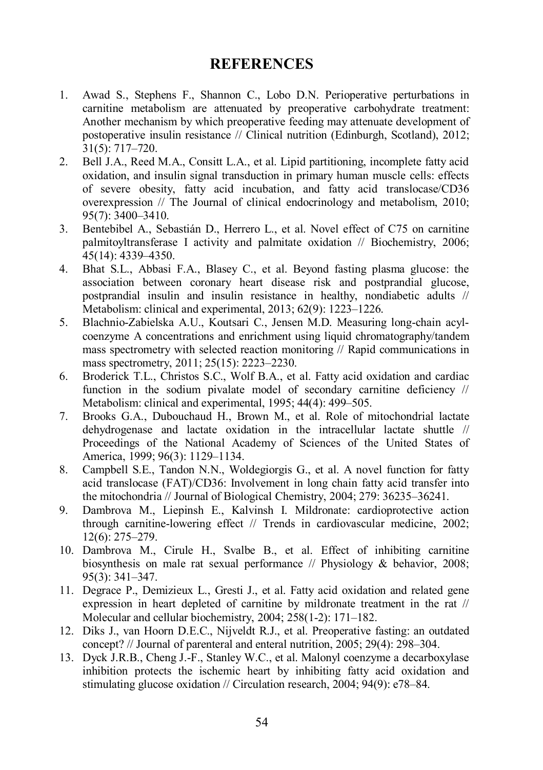### **REFERENCES**

- 1. Awad S., Stephens F., Shannon C., Lobo D.N. Perioperative perturbations in carnitine metabolism are attenuated by preoperative carbohydrate treatment: Another mechanism by which preoperative feeding may attenuate development of postoperative insulin resistance // Clinical nutrition (Edinburgh, Scotland), 2012; 31(5): 717–720.
- 2. Bell J.A., Reed M.A., Consitt L.A., et al. Lipid partitioning, incomplete fatty acid oxidation, and insulin signal transduction in primary human muscle cells: effects of severe obesity, fatty acid incubation, and fatty acid translocase/CD36 overexpression // The Journal of clinical endocrinology and metabolism, 2010; 95(7): 3400–3410.
- 3. Bentebibel A., Sebastián D., Herrero L., et al. Novel effect of C75 on carnitine palmitoyltransferase I activity and palmitate oxidation // Biochemistry, 2006; 45(14): 4339–4350.
- 4. Bhat S.L., Abbasi F.A., Blasey C., et al. Beyond fasting plasma glucose: the association between coronary heart disease risk and postprandial glucose, postprandial insulin and insulin resistance in healthy, nondiabetic adults // Metabolism: clinical and experimental, 2013; 62(9): 1223–1226.
- 5. Blachnio-Zabielska A.U., Koutsari C., Jensen M.D. Measuring long-chain acylcoenzyme A concentrations and enrichment using liquid chromatography/tandem mass spectrometry with selected reaction monitoring // Rapid communications in mass spectrometry, 2011; 25(15): 2223–2230.
- 6. Broderick T.L., Christos S.C., Wolf B.A., et al. Fatty acid oxidation and cardiac function in the sodium pivalate model of secondary carnitine deficiency // Metabolism: clinical and experimental, 1995; 44(4): 499–505.
- 7. Brooks G.A., Dubouchaud H., Brown M., et al. Role of mitochondrial lactate dehydrogenase and lactate oxidation in the intracellular lactate shuttle // Proceedings of the National Academy of Sciences of the United States of America, 1999; 96(3): 1129–1134.
- 8. Campbell S.E., Tandon N.N., Woldegiorgis G., et al. A novel function for fatty acid translocase (FAT)/CD36: Involvement in long chain fatty acid transfer into the mitochondria // Journal of Biological Chemistry, 2004; 279: 36235–36241.
- 9. Dambrova M., Liepinsh E., Kalvinsh I. Mildronate: cardioprotective action through carnitine-lowering effect // Trends in cardiovascular medicine, 2002; 12(6): 275–279.
- 10. Dambrova M., Cirule H., Svalbe B., et al. Effect of inhibiting carnitine biosynthesis on male rat sexual performance // Physiology & behavior, 2008; 95(3): 341–347.
- 11. Degrace P., Demizieux L., Gresti J., et al. Fatty acid oxidation and related gene expression in heart depleted of carnitine by mildronate treatment in the rat // Molecular and cellular biochemistry, 2004; 258(1-2): 171–182.
- 12. Diks J., van Hoorn D.E.C., Nijveldt R.J., et al. Preoperative fasting: an outdated concept? // Journal of parenteral and enteral nutrition, 2005; 29(4): 298–304.
- 13. Dyck J.R.B., Cheng J.-F., Stanley W.C., et al. Malonyl coenzyme a decarboxylase inhibition protects the ischemic heart by inhibiting fatty acid oxidation and stimulating glucose oxidation // Circulation research, 2004; 94(9): e78–84.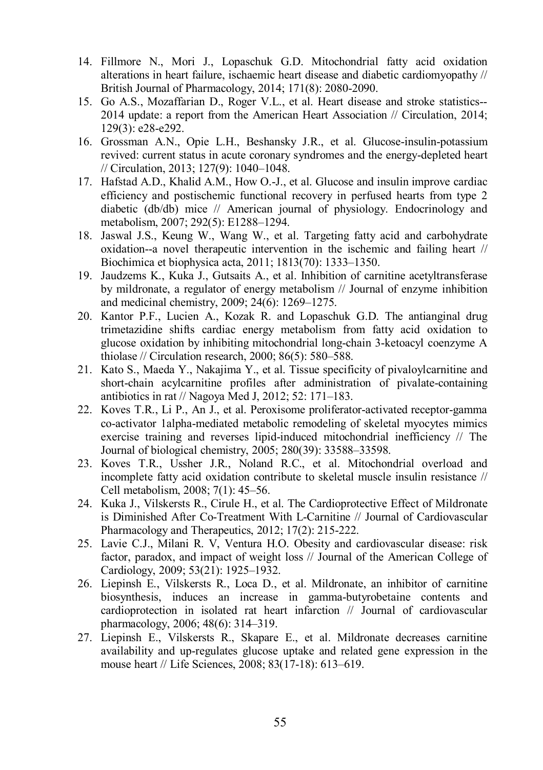- 14. Fillmore N., Mori J., Lopaschuk G.D. Mitochondrial fatty acid oxidation alterations in heart failure, ischaemic heart disease and diabetic cardiomyopathy // British Journal of Pharmacology, 2014; 171(8): 2080-2090.
- 15. Go A.S., Mozaffarian D., Roger V.L., et al. Heart disease and stroke statistics-- 2014 update: a report from the American Heart Association // Circulation, 2014;  $129(3)$ : e $28 - 292$ .
- 16. Grossman A.N., Opie L.H., Beshansky J.R., et al. Glucose-insulin-potassium revived: current status in acute coronary syndromes and the energy-depleted heart // Circulation, 2013; 127(9): 1040–1048.
- 17. Hafstad A.D., Khalid A.M., How O.-J., et al. Glucose and insulin improve cardiac efficiency and postischemic functional recovery in perfused hearts from type 2 diabetic (db/db) mice // American journal of physiology. Endocrinology and metabolism, 2007; 292(5): E1288–1294.
- 18. Jaswal J.S., Keung W., Wang W., et al. Targeting fatty acid and carbohydrate oxidation--a novel therapeutic intervention in the ischemic and failing heart // Biochimica et biophysica acta, 2011; 1813(70): 1333–1350.
- 19. Jaudzems K., Kuka J., Gutsaits A., et al. Inhibition of carnitine acetyltransferase by mildronate, a regulator of energy metabolism // Journal of enzyme inhibition and medicinal chemistry, 2009; 24(6): 1269–1275.
- 20. Kantor P.F., Lucien A., Kozak R. and Lopaschuk G.D. The antianginal drug trimetazidine shifts cardiac energy metabolism from fatty acid oxidation to glucose oxidation by inhibiting mitochondrial long-chain 3-ketoacyl coenzyme A thiolase // Circulation research, 2000; 86(5): 580–588.
- 21. Kato S., Maeda Y., Nakajima Y., et al. Tissue specificity of pivaloylcarnitine and short-chain acylcarnitine profiles after administration of pivalate-containing antibiotics in rat // Nagoya Med J, 2012; 52: 171–183.
- 22. Koves T.R., Li P., An J., et al. Peroxisome proliferator-activated receptor-gamma co-activator 1alpha-mediated metabolic remodeling of skeletal myocytes mimics exercise training and reverses lipid-induced mitochondrial inefficiency // The Journal of biological chemistry, 2005; 280(39): 33588–33598.
- 23. Koves T.R., Ussher J.R., Noland R.C., et al. Mitochondrial overload and incomplete fatty acid oxidation contribute to skeletal muscle insulin resistance // Cell metabolism, 2008; 7(1): 45–56.
- 24. Kuka J., Vilskersts R., Cirule H., et al. The Cardioprotective Effect of Mildronate is Diminished After Co-Treatment With L-Carnitine // Journal of Cardiovascular Pharmacology and Therapeutics, 2012; 17(2): 215-222.
- 25. Lavie C.J., Milani R. V, Ventura H.O. Obesity and cardiovascular disease: risk factor, paradox, and impact of weight loss // Journal of the American College of Cardiology, 2009; 53(21): 1925–1932.
- 26. Liepinsh E., Vilskersts R., Loca D., et al. Mildronate, an inhibitor of carnitine biosynthesis, induces an increase in gamma-butyrobetaine contents and cardioprotection in isolated rat heart infarction // Journal of cardiovascular pharmacology, 2006; 48(6): 314–319.
- 27. Liepinsh E., Vilskersts R., Skapare E., et al. Mildronate decreases carnitine availability and up-regulates glucose uptake and related gene expression in the mouse heart // Life Sciences, 2008; 83(17-18): 613–619.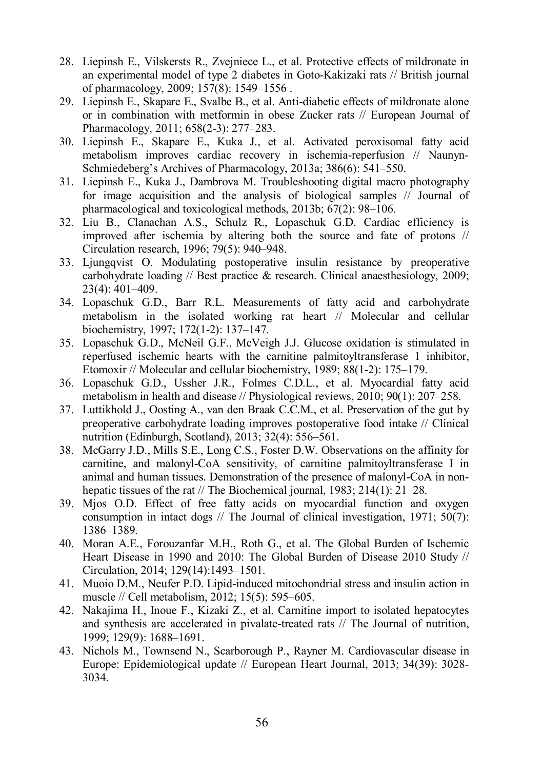- 28. Liepinsh E., Vilskersts R., Zvejniece L., et al. Protective effects of mildronate in an experimental model of type 2 diabetes in Goto-Kakizaki rats // British journal of pharmacology, 2009; 157(8): 1549–1556 .
- 29. Liepinsh E., Skapare E., Svalbe B., et al. Anti-diabetic effects of mildronate alone or in combination with metformin in obese Zucker rats // European Journal of Pharmacology, 2011; 658(2-3): 277–283.
- 30. Liepinsh E., Skapare E., Kuka J., et al. Activated peroxisomal fatty acid metabolism improves cardiac recovery in ischemia-reperfusion // Naunyn-Schmiedeberg's Archives of Pharmacology, 2013a; 386(6): 541–550.
- 31. Liepinsh E., Kuka J., Dambrova M. Troubleshooting digital macro photography for image acquisition and the analysis of biological samples // Journal of pharmacological and toxicological methods, 2013b; 67(2): 98–106.
- 32. Liu B., Clanachan A.S., Schulz R., Lopaschuk G.D. Cardiac efficiency is improved after ischemia by altering both the source and fate of protons // Circulation research, 1996; 79(5): 940–948.
- 33. Ljungqvist O. Modulating postoperative insulin resistance by preoperative carbohydrate loading // Best practice  $\&$  research. Clinical anaesthesiology, 2009; 23(4): 401–409.
- 34. Lopaschuk G.D., Barr R.L. Measurements of fatty acid and carbohydrate metabolism in the isolated working rat heart // Molecular and cellular biochemistry, 1997; 172(1-2): 137–147.
- 35. Lopaschuk G.D., McNeil G.F., McVeigh J.J. Glucose oxidation is stimulated in reperfused ischemic hearts with the carnitine palmitoyltransferase 1 inhibitor, Etomoxir // Molecular and cellular biochemistry, 1989; 88(1-2): 175–179.
- 36. Lopaschuk G.D., Ussher J.R., Folmes C.D.L., et al. Myocardial fatty acid metabolism in health and disease // Physiological reviews, 2010; 90(1): 207–258.
- 37. Luttikhold J., Oosting A., van den Braak C.C.M., et al. Preservation of the gut by preoperative carbohydrate loading improves postoperative food intake // Clinical nutrition (Edinburgh, Scotland), 2013; 32(4): 556–561.
- 38. McGarry J.D., Mills S.E., Long C.S., Foster D.W. Observations on the affinity for carnitine, and malonyl-CoA sensitivity, of carnitine palmitoyltransferase I in animal and human tissues. Demonstration of the presence of malonyl-CoA in nonhepatic tissues of the rat // The Biochemical journal, 1983; 214(1): 21–28.
- 39. Mjos O.D. Effect of free fatty acids on myocardial function and oxygen consumption in intact dogs  $\frac{\pi}{2}$  The Journal of clinical investigation, 1971; 50(7): 1386–1389.
- 40. Moran A.E., Forouzanfar M.H., Roth G., et al. The Global Burden of Ischemic Heart Disease in 1990 and 2010: The Global Burden of Disease 2010 Study // Circulation, 2014; 129(14):1493–1501.
- 41. Muoio D.M., Neufer P.D. Lipid-induced mitochondrial stress and insulin action in muscle // Cell metabolism, 2012; 15(5): 595–605.
- 42. Nakajima H., Inoue F., Kizaki Z., et al. Carnitine import to isolated hepatocytes and synthesis are accelerated in pivalate-treated rats // The Journal of nutrition, 1999; 129(9): 1688–1691.
- 43. Nichols M., Townsend N., Scarborough P., Rayner M. Cardiovascular disease in Europe: Epidemiological update // European Heart Journal, 2013; 34(39): 3028- 3034.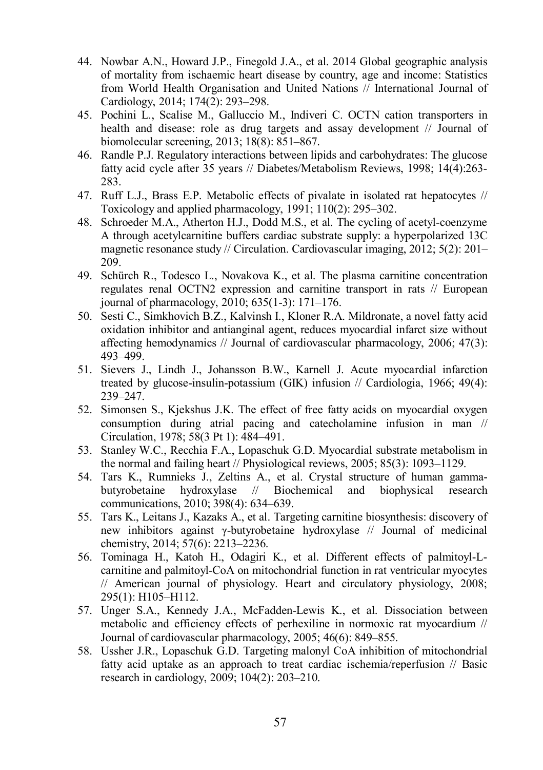- 44. Nowbar A.N., Howard J.P., Finegold J.A., et al. 2014 Global geographic analysis of mortality from ischaemic heart disease by country, age and income: Statistics from World Health Organisation and United Nations // International Journal of Cardiology, 2014; 174(2): 293–298.
- 45. Pochini L., Scalise M., Galluccio M., Indiveri C. OCTN cation transporters in health and disease: role as drug targets and assay development // Journal of biomolecular screening, 2013; 18(8): 851–867.
- 46. Randle P.J. Regulatory interactions between lipids and carbohydrates: The glucose fatty acid cycle after 35 years // Diabetes/Metabolism Reviews, 1998; 14(4):263- 283.
- 47. Ruff L.J., Brass E.P. Metabolic effects of pivalate in isolated rat hepatocytes // Toxicology and applied pharmacology, 1991; 110(2): 295–302.
- 48. Schroeder M.A., Atherton H.J., Dodd M.S., et al. The cycling of acetyl-coenzyme A through acetylcarnitine buffers cardiac substrate supply: a hyperpolarized 13C magnetic resonance study // Circulation. Cardiovascular imaging, 2012; 5(2): 201– 209.
- 49. Schürch R., Todesco L., Novakova K., et al. The plasma carnitine concentration regulates renal OCTN2 expression and carnitine transport in rats // European journal of pharmacology, 2010; 635(1-3): 171–176.
- 50. Sesti C., Simkhovich B.Z., Kalvinsh I., Kloner R.A. Mildronate, a novel fatty acid oxidation inhibitor and antianginal agent, reduces myocardial infarct size without affecting hemodynamics // Journal of cardiovascular pharmacology, 2006; 47(3): 493–499.
- 51. Sievers J., Lindh J., Johansson B.W., Karnell J. Acute myocardial infarction treated by glucose-insulin-potassium (GIK) infusion // Cardiologia, 1966; 49(4): 239–247.
- 52. Simonsen S., Kjekshus J.K. The effect of free fatty acids on myocardial oxygen consumption during atrial pacing and catecholamine infusion in man // Circulation, 1978; 58(3 Pt 1): 484–491.
- 53. Stanley W.C., Recchia F.A., Lopaschuk G.D. Myocardial substrate metabolism in the normal and failing heart // Physiological reviews, 2005; 85(3): 1093–1129.
- 54. Tars K., Rumnieks J., Zeltins A., et al. Crystal structure of human gammabutyrobetaine hydroxylase // Biochemical and biophysical research communications, 2010; 398(4): 634–639.
- 55. Tars K., Leitans J., Kazaks A., et al. Targeting carnitine biosynthesis: discovery of new inhibitors against γ-butyrobetaine hydroxylase // Journal of medicinal chemistry, 2014; 57(6): 2213–2236.
- 56. Tominaga H., Katoh H., Odagiri K., et al. Different effects of palmitoyl-Lcarnitine and palmitoyl-CoA on mitochondrial function in rat ventricular myocytes // American journal of physiology. Heart and circulatory physiology, 2008; 295(1): H105–H112.
- 57. Unger S.A., Kennedy J.A., McFadden-Lewis K., et al. Dissociation between metabolic and efficiency effects of perhexiline in normoxic rat myocardium // Journal of cardiovascular pharmacology, 2005; 46(6): 849–855.
- 58. Ussher J.R., Lopaschuk G.D. Targeting malonyl CoA inhibition of mitochondrial fatty acid uptake as an approach to treat cardiac ischemia/reperfusion // Basic research in cardiology, 2009; 104(2): 203–210.